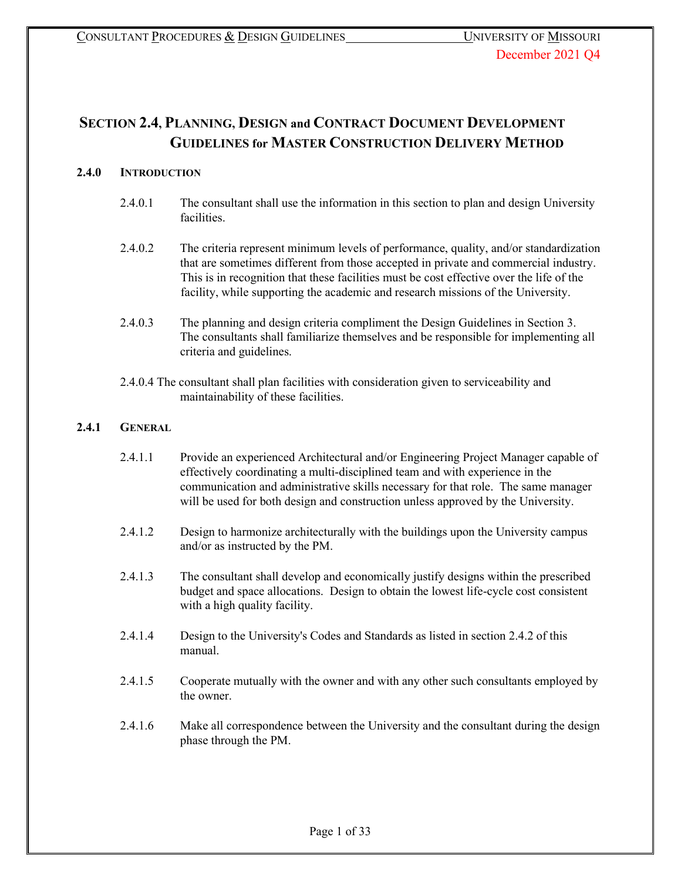# **SECTION 2.4, PLANNING, DESIGN and CONTRACT DOCUMENT DEVELOPMENT GUIDELINES for MASTER CONSTRUCTION DELIVERY METHOD**

# **2.4.0 INTRODUCTION**

- 2.4.0.1 The consultant shall use the information in this section to plan and design University facilities.
- 2.4.0.2 The criteria represent minimum levels of performance, quality, and/or standardization that are sometimes different from those accepted in private and commercial industry. This is in recognition that these facilities must be cost effective over the life of the facility, while supporting the academic and research missions of the University.
- 2.4.0.3 The planning and design criteria compliment the Design Guidelines in Section 3. The consultants shall familiarize themselves and be responsible for implementing all criteria and guidelines.
- 2.4.0.4 The consultant shall plan facilities with consideration given to serviceability and maintainability of these facilities.

# **2.4.1 GENERAL**

- 2.4.1.1 Provide an experienced Architectural and/or Engineering Project Manager capable of effectively coordinating a multi-disciplined team and with experience in the communication and administrative skills necessary for that role. The same manager will be used for both design and construction unless approved by the University.
- 2.4.1.2 Design to harmonize architecturally with the buildings upon the University campus and/or as instructed by the PM.
- 2.4.1.3 The consultant shall develop and economically justify designs within the prescribed budget and space allocations. Design to obtain the lowest life-cycle cost consistent with a high quality facility.
- 2.4.1.4 Design to the University's Codes and Standards as listed in section 2.4.2 of this manual.
- 2.4.1.5 Cooperate mutually with the owner and with any other such consultants employed by the owner.
- 2.4.1.6 Make all correspondence between the University and the consultant during the design phase through the PM.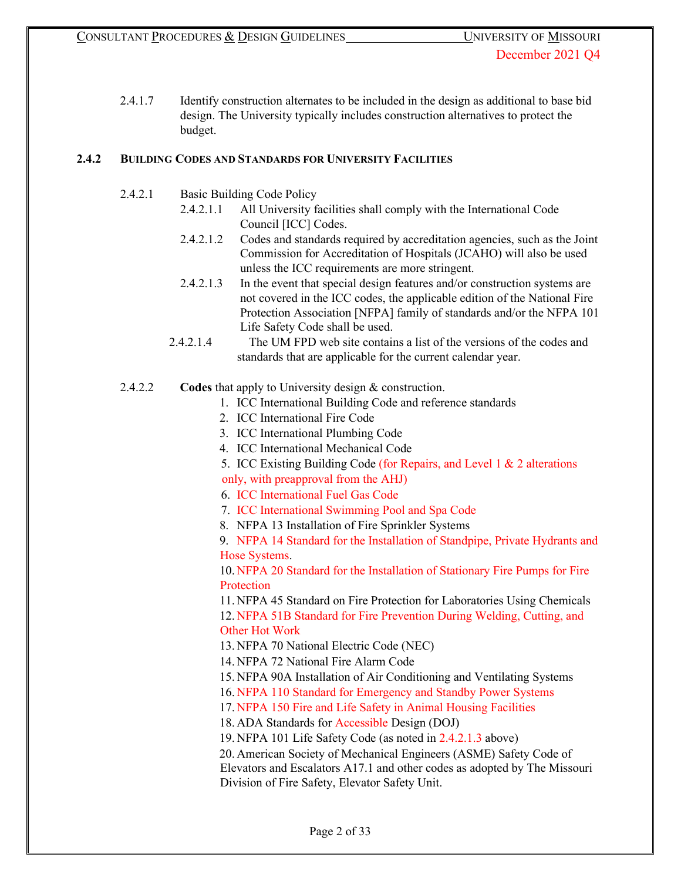2.4.1.7 Identify construction alternates to be included in the design as additional to base bid design. The University typically includes construction alternatives to protect the budget.

# **2.4.2 BUILDING CODES AND STANDARDS FOR UNIVERSITY FACILITIES**

- 2.4.2.1 Basic Building Code Policy
	- 2.4.2.1.1 All University facilities shall comply with the International Code Council [ICC] Codes.
	- 2.4.2.1.2 Codes and standards required by accreditation agencies, such as the Joint Commission for Accreditation of Hospitals (JCAHO) will also be used unless the ICC requirements are more stringent.
	- 2.4.2.1.3 In the event that special design features and/or construction systems are not covered in the ICC codes, the applicable edition of the National Fire Protection Association [NFPA] family of standards and/or the NFPA 101 Life Safety Code shall be used.
	- 2.4.2.1.4 The UM FPD web site contains a list of the versions of the codes and standards that are applicable for the current calendar year.
- 2.4.2.2 **Codes** that apply to University design & construction.
	- 1. ICC International Building Code and reference standards
	- 2. ICC International Fire Code
	- 3. ICC International Plumbing Code
	- 4. ICC International Mechanical Code
	- 5. ICC Existing Building Code (for Repairs, and Level 1 & 2 alterations only, with preapproval from the AHJ)
	- 6. ICC International Fuel Gas Code
	- 7. ICC International Swimming Pool and Spa Code
	- 8. NFPA 13 Installation of Fire Sprinkler Systems

9. NFPA 14 Standard for the Installation of Standpipe, Private Hydrants and Hose Systems.

10. NFPA 20 Standard for the Installation of Stationary Fire Pumps for Fire **Protection** 

11. NFPA 45 Standard on Fire Protection for Laboratories Using Chemicals 12. NFPA 51B Standard for Fire Prevention During Welding, Cutting, and Other Hot Work

13. NFPA 70 National Electric Code (NEC)

14. NFPA 72 National Fire Alarm Code

15. NFPA 90A Installation of Air Conditioning and Ventilating Systems

16. NFPA 110 Standard for Emergency and Standby Power Systems

17. NFPA 150 Fire and Life Safety in Animal Housing Facilities

18. ADA Standards for Accessible Design (DOJ)

19. NFPA 101 Life Safety Code (as noted in 2.4.2.1.3 above)

20. American Society of Mechanical Engineers (ASME) Safety Code of

Elevators and Escalators A17.1 and other codes as adopted by The Missouri Division of Fire Safety, Elevator Safety Unit.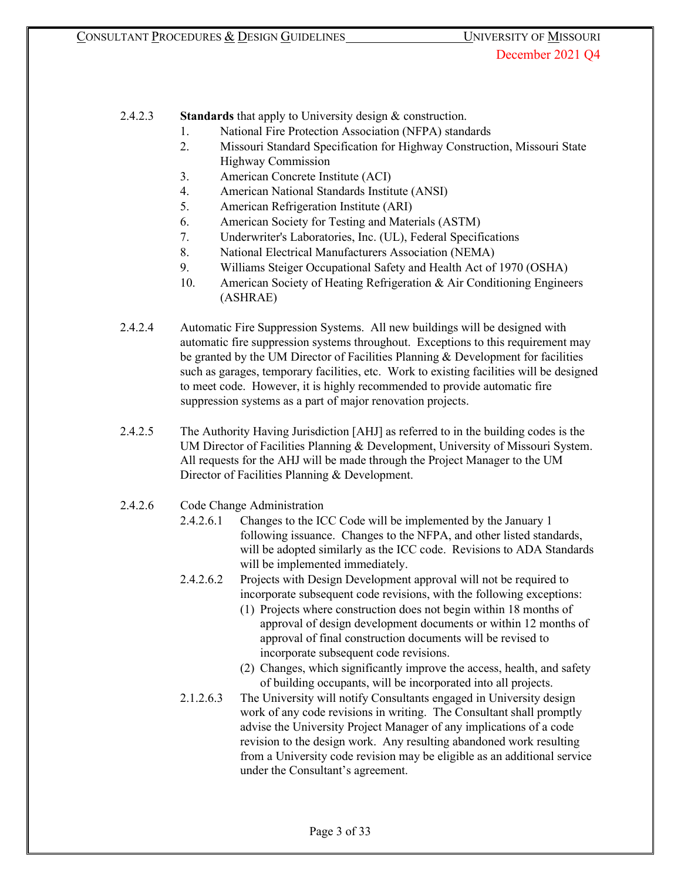2.4.2.3 **Standards** that apply to University design & construction.

- 1. National Fire Protection Association (NFPA) standards
- 2. Missouri Standard Specification for Highway Construction, Missouri State Highway Commission
- 3. American Concrete Institute (ACI)
- 4. American National Standards Institute (ANSI)
- 5. American Refrigeration Institute (ARI)
- 6. American Society for Testing and Materials (ASTM)
- 7. Underwriter's Laboratories, Inc. (UL), Federal Specifications
- 8. National Electrical Manufacturers Association (NEMA)
- 9. Williams Steiger Occupational Safety and Health Act of 1970 (OSHA)
- 10. American Society of Heating Refrigeration & Air Conditioning Engineers (ASHRAE)
- 2.4.2.4 Automatic Fire Suppression Systems. All new buildings will be designed with automatic fire suppression systems throughout. Exceptions to this requirement may be granted by the UM Director of Facilities Planning & Development for facilities such as garages, temporary facilities, etc. Work to existing facilities will be designed to meet code. However, it is highly recommended to provide automatic fire suppression systems as a part of major renovation projects.
- 2.4.2.5 The Authority Having Jurisdiction [AHJ] as referred to in the building codes is the UM Director of Facilities Planning & Development, University of Missouri System. All requests for the AHJ will be made through the Project Manager to the UM Director of Facilities Planning & Development.
- 2.4.2.6 Code Change Administration
	- 2.4.2.6.1 Changes to the ICC Code will be implemented by the January 1 following issuance. Changes to the NFPA, and other listed standards, will be adopted similarly as the ICC code. Revisions to ADA Standards will be implemented immediately.
	- 2.4.2.6.2 Projects with Design Development approval will not be required to incorporate subsequent code revisions, with the following exceptions:
		- (1) Projects where construction does not begin within 18 months of approval of design development documents or within 12 months of approval of final construction documents will be revised to incorporate subsequent code revisions.
		- (2) Changes, which significantly improve the access, health, and safety of building occupants, will be incorporated into all projects.
	- 2.1.2.6.3 The University will notify Consultants engaged in University design work of any code revisions in writing. The Consultant shall promptly advise the University Project Manager of any implications of a code revision to the design work. Any resulting abandoned work resulting from a University code revision may be eligible as an additional service under the Consultant's agreement.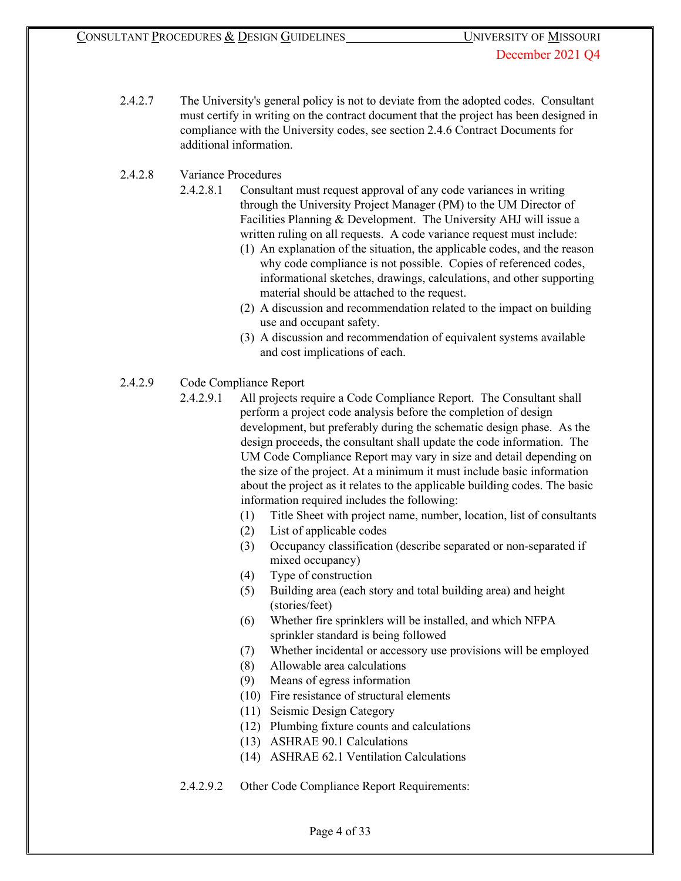2.4.2.7 The University's general policy is not to deviate from the adopted codes. Consultant must certify in writing on the contract document that the project has been designed in compliance with the University codes, see section 2.4.6 Contract Documents for additional information.

# 2.4.2.8 Variance Procedures

- 2.4.2.8.1 Consultant must request approval of any code variances in writing through the University Project Manager (PM) to the UM Director of Facilities Planning & Development. The University AHJ will issue a written ruling on all requests. A code variance request must include:
	- (1) An explanation of the situation, the applicable codes, and the reason why code compliance is not possible. Copies of referenced codes, informational sketches, drawings, calculations, and other supporting material should be attached to the request.
	- (2) A discussion and recommendation related to the impact on building use and occupant safety.
	- (3) A discussion and recommendation of equivalent systems available and cost implications of each.
- 2.4.2.9 Code Compliance Report
	- 2.4.2.9.1 All projects require a Code Compliance Report. The Consultant shall perform a project code analysis before the completion of design development, but preferably during the schematic design phase. As the design proceeds, the consultant shall update the code information. The UM Code Compliance Report may vary in size and detail depending on the size of the project. At a minimum it must include basic information about the project as it relates to the applicable building codes. The basic information required includes the following:
		- (1) Title Sheet with project name, number, location, list of consultants
		- (2) List of applicable codes
		- (3) Occupancy classification (describe separated or non-separated if mixed occupancy)
		- (4) Type of construction
		- (5) Building area (each story and total building area) and height (stories/feet)
		- (6) Whether fire sprinklers will be installed, and which NFPA sprinkler standard is being followed
		- (7) Whether incidental or accessory use provisions will be employed
		- (8) Allowable area calculations
		- (9) Means of egress information
		- (10) Fire resistance of structural elements
		- (11) Seismic Design Category
		- (12) Plumbing fixture counts and calculations
		- (13) ASHRAE 90.1 Calculations
		- (14) ASHRAE 62.1 Ventilation Calculations
	- 2.4.2.9.2 Other Code Compliance Report Requirements: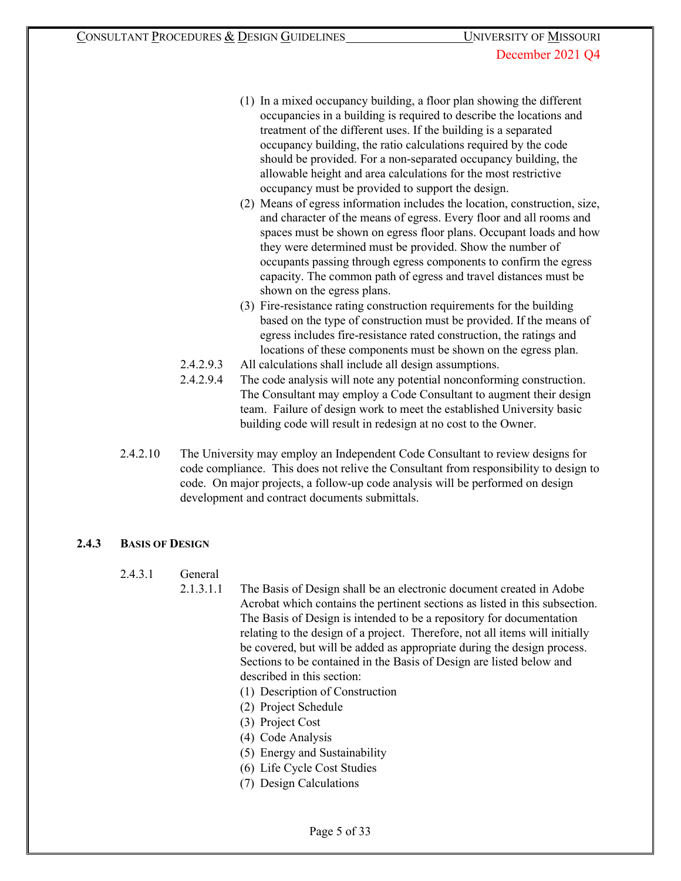- (1) In a mixed occupancy building, a floor plan showing the different occupancies in a building is required to describe the locations and treatment of the different uses. If the building is a separated occupancy building, the ratio calculations required by the code should be provided. For a non-separated occupancy building, the allowable height and area calculations for the most restrictive occupancy must be provided to support the design.
- (2) Means of egress information includes the location, construction, size, and character of the means of egress. Every floor and all rooms and spaces must be shown on egress floor plans. Occupant loads and how they were determined must be provided. Show the number of occupants passing through egress components to confirm the egress capacity. The common path of egress and travel distances must be shown on the egress plans.
- (3) Fire-resistance rating construction requirements for the building based on the type of construction must be provided. If the means of egress includes fire-resistance rated construction, the ratings and locations of these components must be shown on the egress plan.
- 2.4.2.9.3 All calculations shall include all design assumptions.
- 2.4.2.9.4 The code analysis will note any potential nonconforming construction. The Consultant may employ a Code Consultant to augment their design team. Failure of design work to meet the established University basic building code will result in redesign at no cost to the Owner.
- 2.4.2.10 The University may employ an Independent Code Consultant to review designs for code compliance. This does not relive the Consultant from responsibility to design to code. On major projects, a follow-up code analysis will be performed on design development and contract documents submittals.

# **2.4.3 BASIS OF DESIGN**

- 2.4.3.1 General
	- 2.1.3.1.1 The Basis of Design shall be an electronic document created in Adobe Acrobat which contains the pertinent sections as listed in this subsection. The Basis of Design is intended to be a repository for documentation relating to the design of a project. Therefore, not all items will initially be covered, but will be added as appropriate during the design process. Sections to be contained in the Basis of Design are listed below and described in this section:
		- (1) Description of Construction
		- (2) Project Schedule
		- (3) Project Cost
		- (4) Code Analysis
		- (5) Energy and Sustainability
		- (6) Life Cycle Cost Studies
		- (7) Design Calculations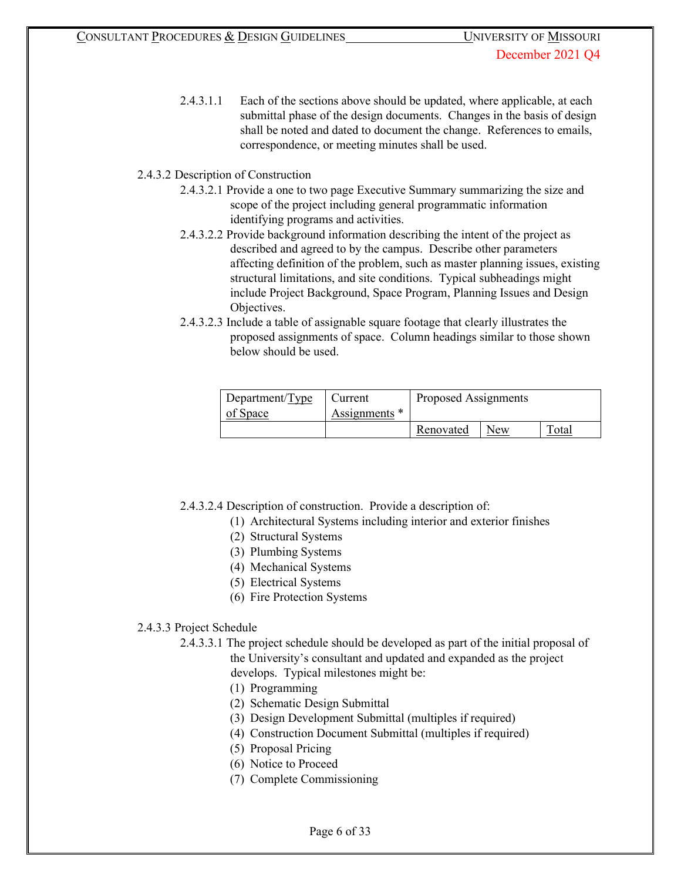2.4.3.1.1 Each of the sections above should be updated, where applicable, at each submittal phase of the design documents. Changes in the basis of design shall be noted and dated to document the change. References to emails, correspondence, or meeting minutes shall be used.

# 2.4.3.2 Description of Construction

- 2.4.3.2.1 Provide a one to two page Executive Summary summarizing the size and scope of the project including general programmatic information identifying programs and activities.
- 2.4.3.2.2 Provide background information describing the intent of the project as described and agreed to by the campus. Describe other parameters affecting definition of the problem, such as master planning issues, existing structural limitations, and site conditions. Typical subheadings might include Project Background, Space Program, Planning Issues and Design Objectives.
- 2.4.3.2.3 Include a table of assignable square footage that clearly illustrates the proposed assignments of space. Column headings similar to those shown below should be used.

| Department/Type | Current       | Proposed Assignments |     |       |
|-----------------|---------------|----------------------|-----|-------|
| of Space        | Assignments * |                      |     |       |
|                 |               | Renovated            | New | Total |

- 2.4.3.2.4 Description of construction. Provide a description of:
	- (1) Architectural Systems including interior and exterior finishes
	- (2) Structural Systems
	- (3) Plumbing Systems
	- (4) Mechanical Systems
	- (5) Electrical Systems
	- (6) Fire Protection Systems

# 2.4.3.3 Project Schedule

- 2.4.3.3.1 The project schedule should be developed as part of the initial proposal of the University's consultant and updated and expanded as the project develops. Typical milestones might be:
	- (1) Programming
	- (2) Schematic Design Submittal
	- (3) Design Development Submittal (multiples if required)
	- (4) Construction Document Submittal (multiples if required)
	- (5) Proposal Pricing
	- (6) Notice to Proceed
	- (7) Complete Commissioning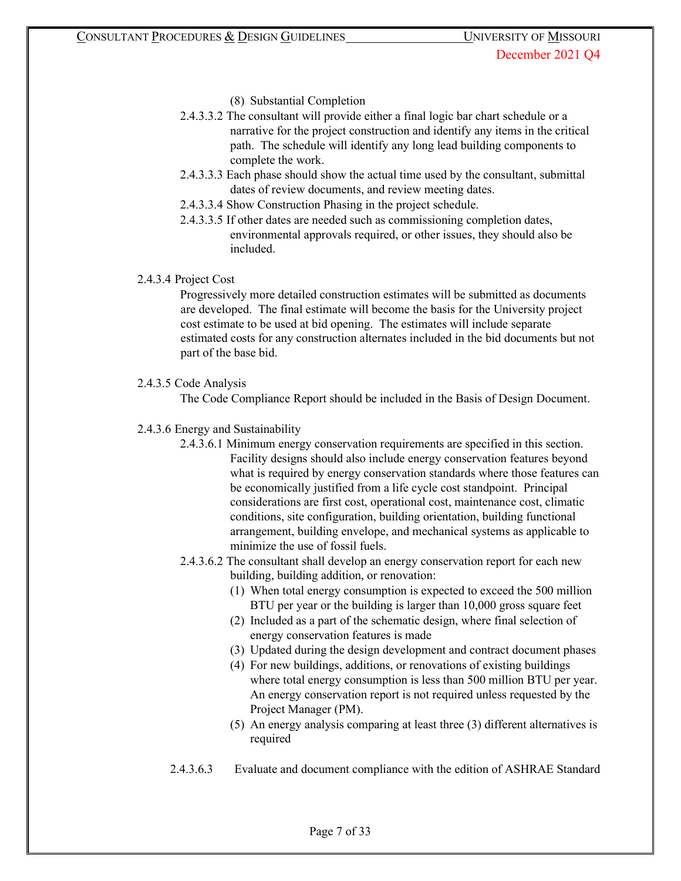- (8) Substantial Completion
- 2.4.3.3.2 The consultant will provide either a final logic bar chart schedule or a narrative for the project construction and identify any items in the critical path. The schedule will identify any long lead building components to complete the work.
- 2.4.3.3.3 Each phase should show the actual time used by the consultant, submittal dates of review documents, and review meeting dates.
- 2.4.3.3.4 Show Construction Phasing in the project schedule.
- 2.4.3.3.5 If other dates are needed such as commissioning completion dates, environmental approvals required, or other issues, they should also be included.

## 2.4.3.4 Project Cost

Progressively more detailed construction estimates will be submitted as documents are developed. The final estimate will become the basis for the University project cost estimate to be used at bid opening. The estimates will include separate estimated costs for any construction alternates included in the bid documents but not part of the base bid.

## 2.4.3.5 Code Analysis

The Code Compliance Report should be included in the Basis of Design Document.

## 2.4.3.6 Energy and Sustainability

- 2.4.3.6.1 Minimum energy conservation requirements are specified in this section. Facility designs should also include energy conservation features beyond what is required by energy conservation standards where those features can be economically justified from a life cycle cost standpoint. Principal considerations are first cost, operational cost, maintenance cost, climatic conditions, site configuration, building orientation, building functional arrangement, building envelope, and mechanical systems as applicable to minimize the use of fossil fuels.
- 2.4.3.6.2 The consultant shall develop an energy conservation report for each new building, building addition, or renovation:
	- (1) When total energy consumption is expected to exceed the 500 million BTU per year or the building is larger than 10,000 gross square feet
	- (2) Included as a part of the schematic design, where final selection of energy conservation features is made
	- (3) Updated during the design development and contract document phases
	- (4) For new buildings, additions, or renovations of existing buildings where total energy consumption is less than 500 million BTU per year. An energy conservation report is not required unless requested by the Project Manager (PM).
	- (5) An energy analysis comparing at least three (3) different alternatives is required
- 2.4.3.6.3 Evaluate and document compliance with the edition of ASHRAE Standard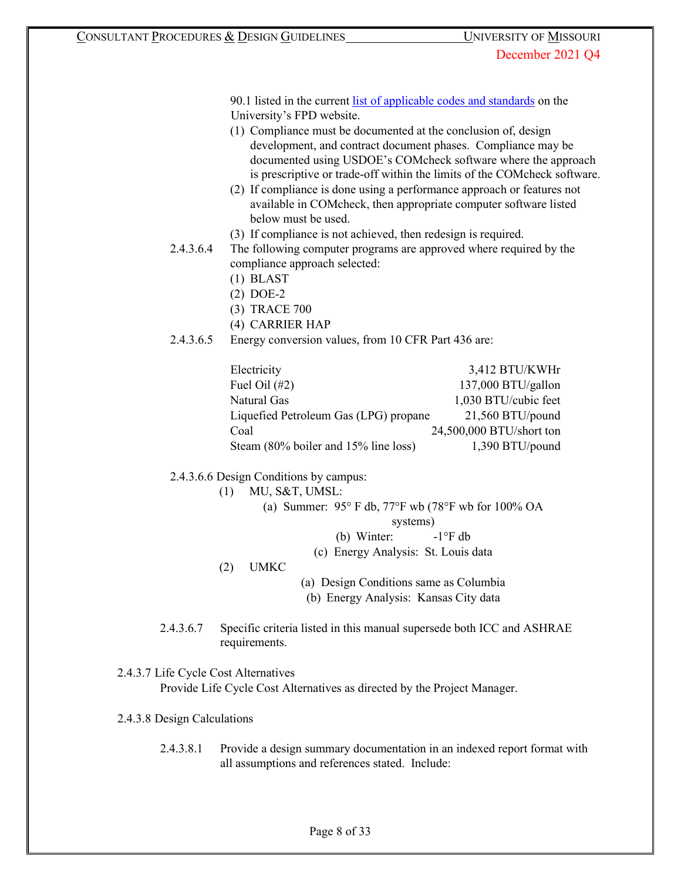90.1 listed in the current [list of applicable codes and standards](https://uminfopoint.umsystem.edu/media/fa/management/facilities/docs/UM%20Code%20List.pdf) [o](https://uminfopoint.umsystem.edu/media/fa/management/facilities/docs/UM%20Code%20List.pdf)n the University's FPD website.

- (1) Compliance must be documented at the conclusion of, design development, and contract document phases. Compliance may be documented using USDOE's COMcheck software where the approach is prescriptive or trade-off within the limits of the COMcheck software.
- (2) If compliance is done using a performance approach or features not available in COMcheck, then appropriate computer software listed below must be used.
- (3) If compliance is not achieved, then redesign is required.
- 2.4.3.6.4 The following computer programs are approved where required by the compliance approach selected:
	- (1) BLAST
	- (2) DOE-2
	- (3) TRACE 700
	- (4) CARRIER HAP
- 2.4.3.6.5 Energy conversion values, from 10 CFR Part 436 are:

| Electricity                           | 3,412 BTU/KWHr           |
|---------------------------------------|--------------------------|
| Fuel Oil $(\#2)$                      | 137,000 BTU/gallon       |
| Natural Gas                           | 1,030 BTU/cubic feet     |
| Liquefied Petroleum Gas (LPG) propane | 21,560 BTU/pound         |
| Coal                                  | 24,500,000 BTU/short ton |
| Steam (80% boiler and 15% line loss)  | 1,390 BTU/pound          |

2.4.3.6.6 Design Conditions by campus:

| (1) | MU, S&T, UMSL:                                                                     |                                        |  |  |
|-----|------------------------------------------------------------------------------------|----------------------------------------|--|--|
|     | (a) Summer: $95^{\circ}$ F db, $77^{\circ}$ F wb $(78^{\circ}$ F wb for $100\%$ OA |                                        |  |  |
|     |                                                                                    | systems)                               |  |  |
|     |                                                                                    | (b) Winter: $-1^{\circ}$ F db          |  |  |
|     |                                                                                    | (c) Energy Analysis: St. Louis data    |  |  |
| (2) | <b>UMKC</b>                                                                        |                                        |  |  |
|     |                                                                                    | (a) Design Conditions same as Columbia |  |  |
|     |                                                                                    | (b) Energy Analysis: Kansas City data  |  |  |

2.4.3.6.7 Specific criteria listed in this manual supersede both ICC and ASHRAE requirements.

# 2.4.3.7 Life Cycle Cost Alternatives

Provide Life Cycle Cost Alternatives as directed by the Project Manager.

## 2.4.3.8 Design Calculations

2.4.3.8.1 Provide a design summary documentation in an indexed report format with all assumptions and references stated. Include: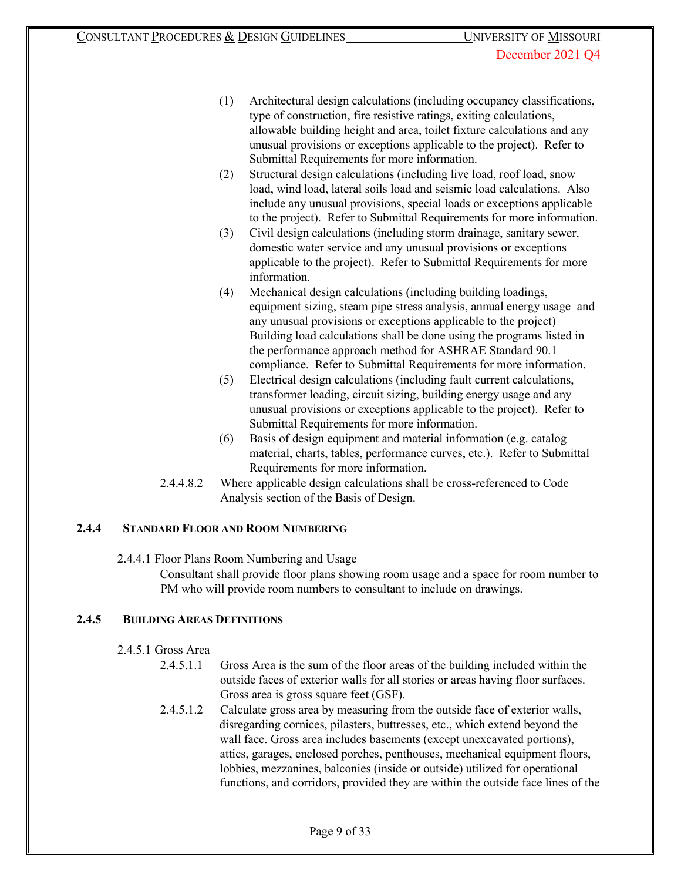- (1) Architectural design calculations (including occupancy classifications, type of construction, fire resistive ratings, exiting calculations, allowable building height and area, toilet fixture calculations and any unusual provisions or exceptions applicable to the project). Refer to Submittal Requirements for more information.
- (2) Structural design calculations (including live load, roof load, snow load, wind load, lateral soils load and seismic load calculations. Also include any unusual provisions, special loads or exceptions applicable to the project). Refer to Submittal Requirements for more information.
- (3) Civil design calculations (including storm drainage, sanitary sewer, domestic water service and any unusual provisions or exceptions applicable to the project). Refer to Submittal Requirements for more information.
- (4) Mechanical design calculations (including building loadings, equipment sizing, steam pipe stress analysis, annual energy usage and any unusual provisions or exceptions applicable to the project) Building load calculations shall be done using the programs listed in the performance approach method for ASHRAE Standard 90.1 compliance. Refer to Submittal Requirements for more information.
- (5) Electrical design calculations (including fault current calculations, transformer loading, circuit sizing, building energy usage and any unusual provisions or exceptions applicable to the project). Refer to Submittal Requirements for more information.
- (6) Basis of design equipment and material information (e.g. catalog material, charts, tables, performance curves, etc.). Refer to Submittal Requirements for more information.
- 2.4.4.8.2 Where applicable design calculations shall be cross-referenced to Code Analysis section of the Basis of Design.

# **2.4.4 STANDARD FLOOR AND ROOM NUMBERING**

2.4.4.1 Floor Plans Room Numbering and Usage

Consultant shall provide floor plans showing room usage and a space for room number to PM who will provide room numbers to consultant to include on drawings.

# **2.4.5 BUILDING AREAS DEFINITIONS**

- 2.4.5.1 Gross Area
	- 2.4.5.1.1 Gross Area is the sum of the floor areas of the building included within the outside faces of exterior walls for all stories or areas having floor surfaces. Gross area is gross square feet (GSF).
	- 2.4.5.1.2 Calculate gross area by measuring from the outside face of exterior walls, disregarding cornices, pilasters, buttresses, etc., which extend beyond the wall face. Gross area includes basements (except unexcavated portions), attics, garages, enclosed porches, penthouses, mechanical equipment floors, lobbies, mezzanines, balconies (inside or outside) utilized for operational functions, and corridors, provided they are within the outside face lines of the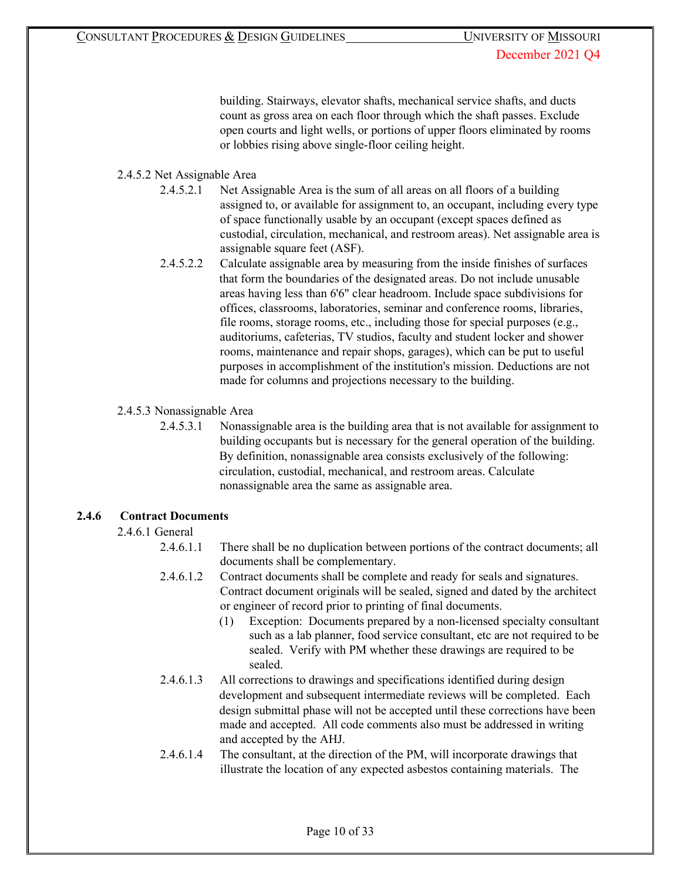building. Stairways, elevator shafts, mechanical service shafts, and ducts count as gross area on each floor through which the shaft passes. Exclude open courts and light wells, or portions of upper floors eliminated by rooms or lobbies rising above single-floor ceiling height.

# 2.4.5.2 Net Assignable Area

- 2.4.5.2.1 Net Assignable Area is the sum of all areas on all floors of a building assigned to, or available for assignment to, an occupant, including every type of space functionally usable by an occupant (except spaces defined as custodial, circulation, mechanical, and restroom areas). Net assignable area is assignable square feet (ASF).
- 2.4.5.2.2 Calculate assignable area by measuring from the inside finishes of surfaces that form the boundaries of the designated areas. Do not include unusable areas having less than 6'6" clear headroom. Include space subdivisions for offices, classrooms, laboratories, seminar and conference rooms, libraries, file rooms, storage rooms, etc., including those for special purposes (e.g., auditoriums, cafeterias, TV studios, faculty and student locker and shower rooms, maintenance and repair shops, garages), which can be put to useful purposes in accomplishment of the institution's mission. Deductions are not made for columns and projections necessary to the building.

# 2.4.5.3 Nonassignable Area

2.4.5.3.1 Nonassignable area is the building area that is not available for assignment to building occupants but is necessary for the general operation of the building. By definition, nonassignable area consists exclusively of the following: circulation, custodial, mechanical, and restroom areas. Calculate nonassignable area the same as assignable area.

# **2.4.6 Contract Documents**

# 2.4.6.1 General

- 2.4.6.1.1 There shall be no duplication between portions of the contract documents; all documents shall be complementary.
- 2.4.6.1.2 Contract documents shall be complete and ready for seals and signatures. Contract document originals will be sealed, signed and dated by the architect or engineer of record prior to printing of final documents.
	- (1) Exception: Documents prepared by a non-licensed specialty consultant such as a lab planner, food service consultant, etc are not required to be sealed. Verify with PM whether these drawings are required to be sealed.
- 2.4.6.1.3 All corrections to drawings and specifications identified during design development and subsequent intermediate reviews will be completed. Each design submittal phase will not be accepted until these corrections have been made and accepted. All code comments also must be addressed in writing and accepted by the AHJ.
- 2.4.6.1.4 The consultant, at the direction of the PM, will incorporate drawings that illustrate the location of any expected asbestos containing materials. The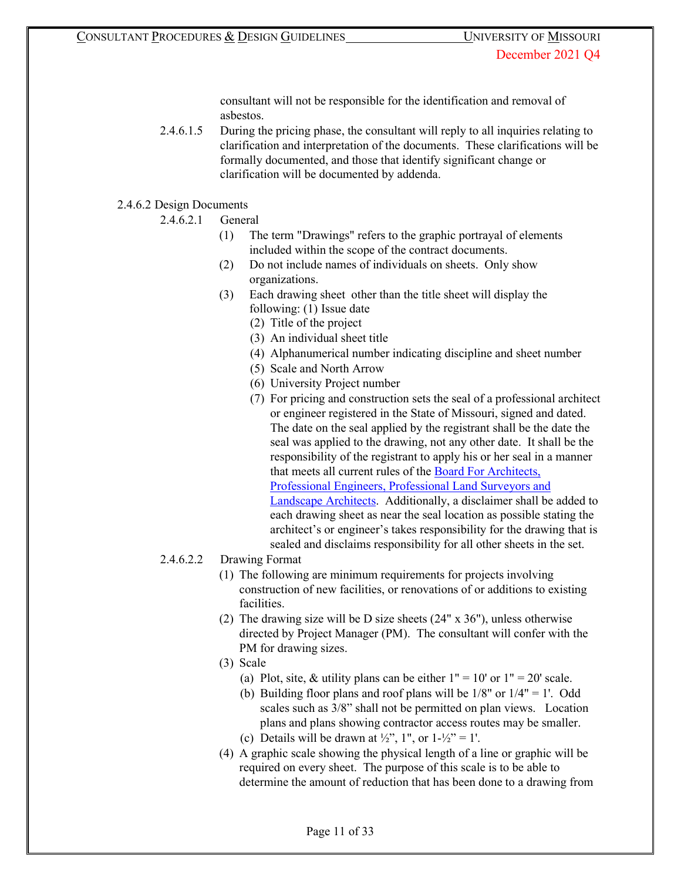consultant will not be responsible for the identification and removal of asbestos.

2.4.6.1.5 During the pricing phase, the consultant will reply to all inquiries relating to clarification and interpretation of the documents. These clarifications will be formally documented, and those that identify significant change or clarification will be documented by addenda.

## 2.4.6.2 Design Documents

- 2.4.6.2.1 General
	- (1) The term "Drawings" refers to the graphic portrayal of elements included within the scope of the contract documents.
	- (2) Do not include names of individuals on sheets. Only show organizations.
	- (3) Each drawing sheet other than the title sheet will display the following: (1) Issue date
		- (2) Title of the project
		- (3) An individual sheet title
		- (4) Alphanumerical number indicating discipline and sheet number
		- (5) Scale and North Arrow
		- (6) University Project number
		- (7) For pricing and construction sets the seal of a professional architect or engineer registered in the State of Missouri, signed and dated. The date on the seal applied by the registrant shall be the date the seal was applied to the drawing, not any other date. It shall be the responsibility of the registrant to apply his or her seal in a manner that meets all current rules of the [Board For Architects,](http://pr.mo.gov/apelsla.asp) [Professional Engineers, Professional Land Surveyors and](http://pr.mo.gov/apelsla.asp) [Landscape Architects.](http://pr.mo.gov/apelsla.asp) Additionally, a disclaimer shall be added to each drawing sheet as near the seal location as possible stating the architect's or engineer's takes responsibility for the drawing that is sealed and disclaims responsibility for all other sheets in the set.

# 2.4.6.2.2 Drawing Format

- (1) The following are minimum requirements for projects involving construction of new facilities, or renovations of or additions to existing facilities.
- (2) The drawing size will be D size sheets (24" x 36"), unless otherwise directed by Project Manager (PM). The consultant will confer with the PM for drawing sizes.
- (3) Scale
	- (a) Plot, site, & utility plans can be either  $1" = 10'$  or  $1" = 20'$  scale.
	- (b) Building floor plans and roof plans will be  $1/8"$  or  $1/4" = 1'$ . Odd scales such as 3/8" shall not be permitted on plan views. Location plans and plans showing contractor access routes may be smaller.
	- (c) Details will be drawn at  $\frac{1}{2}$ , 1", or  $1-\frac{1}{2}$ " = 1'.
- (4) A graphic scale showing the physical length of a line or graphic will be required on every sheet. The purpose of this scale is to be able to determine the amount of reduction that has been done to a drawing from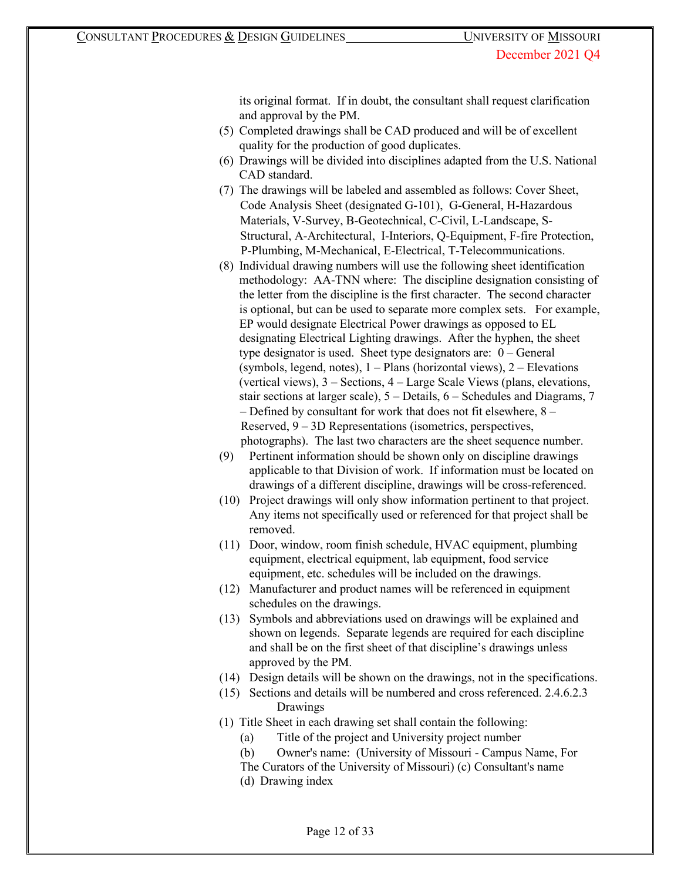its original format. If in doubt, the consultant shall request clarification and approval by the PM.

- (5) Completed drawings shall be CAD produced and will be of excellent quality for the production of good duplicates.
- (6) Drawings will be divided into disciplines adapted from the U.S. National CAD standard.
- (7) The drawings will be labeled and assembled as follows: Cover Sheet, Code Analysis Sheet (designated G-101), G-General, H-Hazardous Materials, V-Survey, B-Geotechnical, C-Civil, L-Landscape, S-Structural, A-Architectural, I-Interiors, Q-Equipment, F-fire Protection, P-Plumbing, M-Mechanical, E-Electrical, T-Telecommunications.
- (8) Individual drawing numbers will use the following sheet identification methodology: AA-TNN where: The discipline designation consisting of the letter from the discipline is the first character. The second character is optional, but can be used to separate more complex sets. For example, EP would designate Electrical Power drawings as opposed to EL designating Electrical Lighting drawings. After the hyphen, the sheet type designator is used. Sheet type designators are: 0 – General (symbols, legend, notes),  $1 -$ Plans (horizontal views),  $2 -$ Elevations (vertical views), 3 – Sections, 4 – Large Scale Views (plans, elevations, stair sections at larger scale), 5 – Details, 6 – Schedules and Diagrams, 7 – Defined by consultant for work that does not fit elsewhere, 8 – Reserved, 9 – 3D Representations (isometrics, perspectives, photographs). The last two characters are the sheet sequence number.
- (9) Pertinent information should be shown only on discipline drawings applicable to that Division of work. If information must be located on drawings of a different discipline, drawings will be cross-referenced.
- (10) Project drawings will only show information pertinent to that project. Any items not specifically used or referenced for that project shall be removed.
- (11) Door, window, room finish schedule, HVAC equipment, plumbing equipment, electrical equipment, lab equipment, food service equipment, etc. schedules will be included on the drawings.
- (12) Manufacturer and product names will be referenced in equipment schedules on the drawings.
- (13) Symbols and abbreviations used on drawings will be explained and shown on legends. Separate legends are required for each discipline and shall be on the first sheet of that discipline's drawings unless approved by the PM.
- (14) Design details will be shown on the drawings, not in the specifications.
- (15) Sections and details will be numbered and cross referenced. 2.4.6.2.3 Drawings
- (1) Title Sheet in each drawing set shall contain the following:
	- (a) Title of the project and University project number
	- (b) Owner's name: (University of Missouri Campus Name, For
	- The Curators of the University of Missouri) (c) Consultant's name
	- (d) Drawing index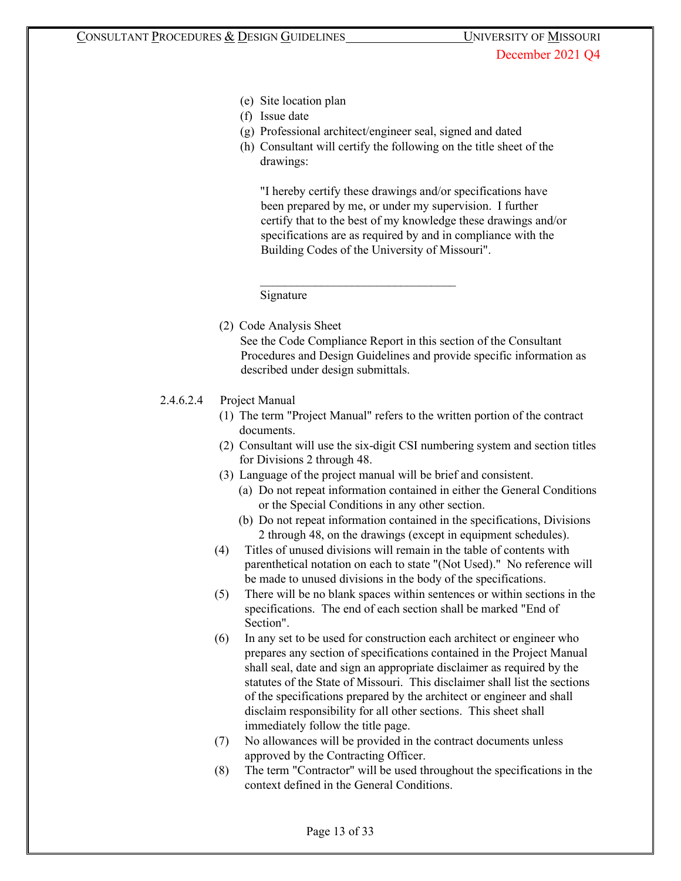- (e) Site location plan
- (f) Issue date
- (g) Professional architect/engineer seal, signed and dated

\_\_\_\_\_\_\_\_\_\_\_\_\_\_\_\_\_\_\_\_\_\_\_\_\_\_\_\_\_\_\_\_

(h) Consultant will certify the following on the title sheet of the drawings:

"I hereby certify these drawings and/or specifications have been prepared by me, or under my supervision. I further certify that to the best of my knowledge these drawings and/or specifications are as required by and in compliance with the Building Codes of the University of Missouri".

Signature

(2) Code Analysis Sheet

See the Code Compliance Report in this section of the Consultant Procedures and Design Guidelines and provide specific information as described under design submittals.

- 2.4.6.2.4 Project Manual
	- (1) The term "Project Manual" refers to the written portion of the contract documents.
	- (2) Consultant will use the six-digit CSI numbering system and section titles for Divisions 2 through 48.
	- (3) Language of the project manual will be brief and consistent.
		- (a) Do not repeat information contained in either the General Conditions or the Special Conditions in any other section.
		- (b) Do not repeat information contained in the specifications, Divisions 2 through 48, on the drawings (except in equipment schedules).
	- (4) Titles of unused divisions will remain in the table of contents with parenthetical notation on each to state "(Not Used)." No reference will be made to unused divisions in the body of the specifications.
	- (5) There will be no blank spaces within sentences or within sections in the specifications. The end of each section shall be marked "End of Section".
	- (6) In any set to be used for construction each architect or engineer who prepares any section of specifications contained in the Project Manual shall seal, date and sign an appropriate disclaimer as required by the statutes of the State of Missouri. This disclaimer shall list the sections of the specifications prepared by the architect or engineer and shall disclaim responsibility for all other sections. This sheet shall immediately follow the title page.
	- (7) No allowances will be provided in the contract documents unless approved by the Contracting Officer.
	- (8) The term "Contractor" will be used throughout the specifications in the context defined in the General Conditions.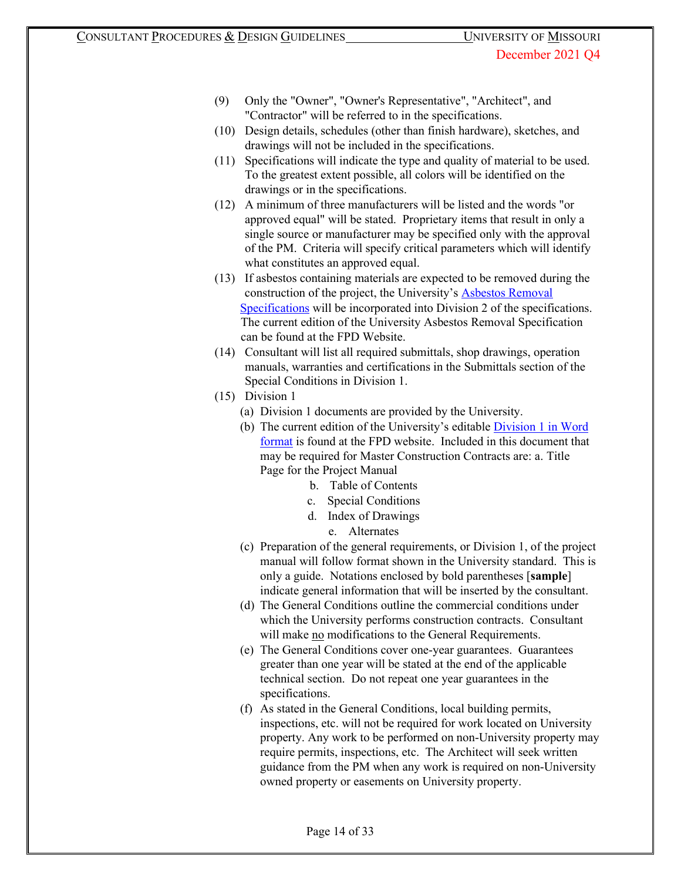- (9) Only the "Owner", "Owner's Representative", "Architect", and "Contractor" will be referred to in the specifications.
- (10) Design details, schedules (other than finish hardware), sketches, and drawings will not be included in the specifications.
- (11) Specifications will indicate the type and quality of material to be used. To the greatest extent possible, all colors will be identified on the drawings or in the specifications.
- (12) A minimum of three manufacturers will be listed and the words "or approved equal" will be stated. Proprietary items that result in only a single source or manufacturer may be specified only with the approval of the PM. Criteria will specify critical parameters which will identify what constitutes an approved equal.
- (13) If asbestos containing materials are expected to be removed during the construction of the project, the University'[s Asbestos Removal](http://www.umsystem.edu/media/asbestosspec0101.doc) [Specifications](http://www.umsystem.edu/media/asbestosspec0101.doc) will be incorporated into Division 2 of the specifications. The current edition of the University Asbestos Removal Specification can be found at the FPD Website.
- (14) Consultant will list all required submittals, shop drawings, operation manuals, warranties and certifications in the Submittals section of the Special Conditions in Division 1.
- (15) Division 1
	- (a) Division 1 documents are provided by the University.
	- (b) The current edition of the University's editabl[e](https://uminfopoint.umsystem.edu/media/_layouts/WordViewer.aspx?id=/media/fa/management/facilities/docs/Div%201%20Bidding%20Documents.docx&Source=https%3A%2F%2Fuminfopoint%2Eumsystem%2Eedu%2Fmedia%2Ffa%2FForms%2FAllItems%2Easpx%3FPaged%3DTRUE%26p%5FSortBehavior%3D0%26p%5FFileLeafRef%3DConstruction%2520backup%2520template%252dDesign%252dBuild%252edoc%26p%5FID%3D3333%26RootFolder%3D%252Fmedia%252Ffa%252Fmanagement%252Ffacilities%252Fdocs%26PageFirstRow%3D31%26%26View%3D%7B63171E52%2D62D7%2D4DBC%2D8829%2DE9803060A17F%7D%26InitialTabId%3DRibbon%252EDocument%26VisibilityContext%3DWSSTabPersistence&DefaultItemOpen=1&DefaultItemOpen=1) [Division 1 in Word](https://uminfopoint.umsystem.edu/media/_layouts/WordViewer.aspx?id=/media/fa/management/facilities/docs/Div%201%20Bidding%20Documents.docx&Source=https%3A%2F%2Fuminfopoint%2Eumsystem%2Eedu%2Fmedia%2Ffa%2FForms%2FAllItems%2Easpx%3FPaged%3DTRUE%26p%5FSortBehavior%3D0%26p%5FFileLeafRef%3DConstruction%2520backup%2520template%252dDesign%252dBuild%252edoc%26p%5FID%3D3333%26RootFolder%3D%252Fmedia%252Ffa%252Fmanagement%252Ffacilities%252Fdocs%26PageFirstRow%3D31%26%26View%3D%7B63171E52%2D62D7%2D4DBC%2D8829%2DE9803060A17F%7D%26InitialTabId%3DRibbon%252EDocument%26VisibilityContext%3DWSSTabPersistence&DefaultItemOpen=1&DefaultItemOpen=1) [format](https://uminfopoint.umsystem.edu/media/_layouts/WordViewer.aspx?id=/media/fa/management/facilities/docs/Div%201%20Bidding%20Documents.docx&Source=https%3A%2F%2Fuminfopoint%2Eumsystem%2Eedu%2Fmedia%2Ffa%2FForms%2FAllItems%2Easpx%3FPaged%3DTRUE%26p%5FSortBehavior%3D0%26p%5FFileLeafRef%3DConstruction%2520backup%2520template%252dDesign%252dBuild%252edoc%26p%5FID%3D3333%26RootFolder%3D%252Fmedia%252Ffa%252Fmanagement%252Ffacilities%252Fdocs%26PageFirstRow%3D31%26%26View%3D%7B63171E52%2D62D7%2D4DBC%2D8829%2DE9803060A17F%7D%26InitialTabId%3DRibbon%252EDocument%26VisibilityContext%3DWSSTabPersistence&DefaultItemOpen=1&DefaultItemOpen=1) is found at the FPD website. Included in this document that may be required for Master Construction Contracts are: a. Title Page for the Project Manual
		- b. Table of Contents
		- c. Special Conditions
		- d. Index of Drawings
			- e. Alternates
	- (c) Preparation of the general requirements, or Division 1, of the project manual will follow format shown in the University standard. This is only a guide. Notations enclosed by bold parentheses [**sample**] indicate general information that will be inserted by the consultant.
	- (d) The General Conditions outline the commercial conditions under which the University performs construction contracts. Consultant will make no modifications to the General Requirements.
	- (e) The General Conditions cover one-year guarantees. Guarantees greater than one year will be stated at the end of the applicable technical section. Do not repeat one year guarantees in the specifications.
	- (f) As stated in the General Conditions, local building permits, inspections, etc. will not be required for work located on University property. Any work to be performed on non-University property may require permits, inspections, etc. The Architect will seek written guidance from the PM when any work is required on non-University owned property or easements on University property.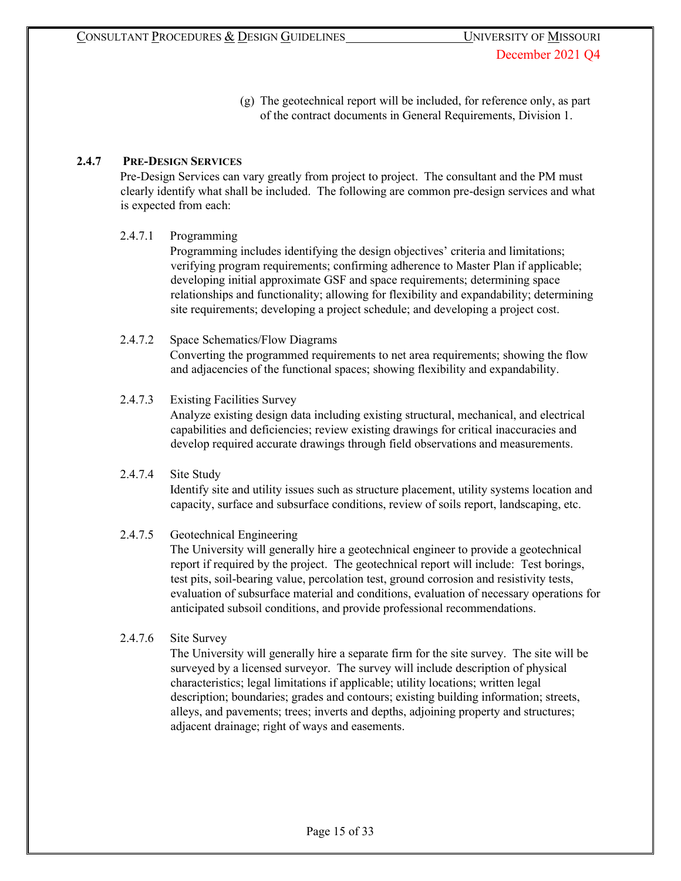(g) The geotechnical report will be included, for reference only, as part of the contract documents in General Requirements, Division 1.

## **2.4.7 PRE-DESIGN SERVICES**

Pre-Design Services can vary greatly from project to project. The consultant and the PM must clearly identify what shall be included. The following are common pre-design services and what is expected from each:

## 2.4.7.1 Programming

Programming includes identifying the design objectives' criteria and limitations; verifying program requirements; confirming adherence to Master Plan if applicable; developing initial approximate GSF and space requirements; determining space relationships and functionality; allowing for flexibility and expandability; determining site requirements; developing a project schedule; and developing a project cost.

## 2.4.7.2 Space Schematics/Flow Diagrams

Converting the programmed requirements to net area requirements; showing the flow and adjacencies of the functional spaces; showing flexibility and expandability.

## 2.4.7.3 Existing Facilities Survey

Analyze existing design data including existing structural, mechanical, and electrical capabilities and deficiencies; review existing drawings for critical inaccuracies and develop required accurate drawings through field observations and measurements.

# 2.4.7.4 Site Study Identify site and utility issues such as structure placement, utility systems location and capacity, surface and subsurface conditions, review of soils report, landscaping, etc.

## 2.4.7.5 Geotechnical Engineering

The University will generally hire a geotechnical engineer to provide a geotechnical report if required by the project. The geotechnical report will include: Test borings, test pits, soil-bearing value, percolation test, ground corrosion and resistivity tests, evaluation of subsurface material and conditions, evaluation of necessary operations for anticipated subsoil conditions, and provide professional recommendations.

## 2.4.7.6 Site Survey

The University will generally hire a separate firm for the site survey. The site will be surveyed by a licensed surveyor. The survey will include description of physical characteristics; legal limitations if applicable; utility locations; written legal description; boundaries; grades and contours; existing building information; streets, alleys, and pavements; trees; inverts and depths, adjoining property and structures; adjacent drainage; right of ways and easements.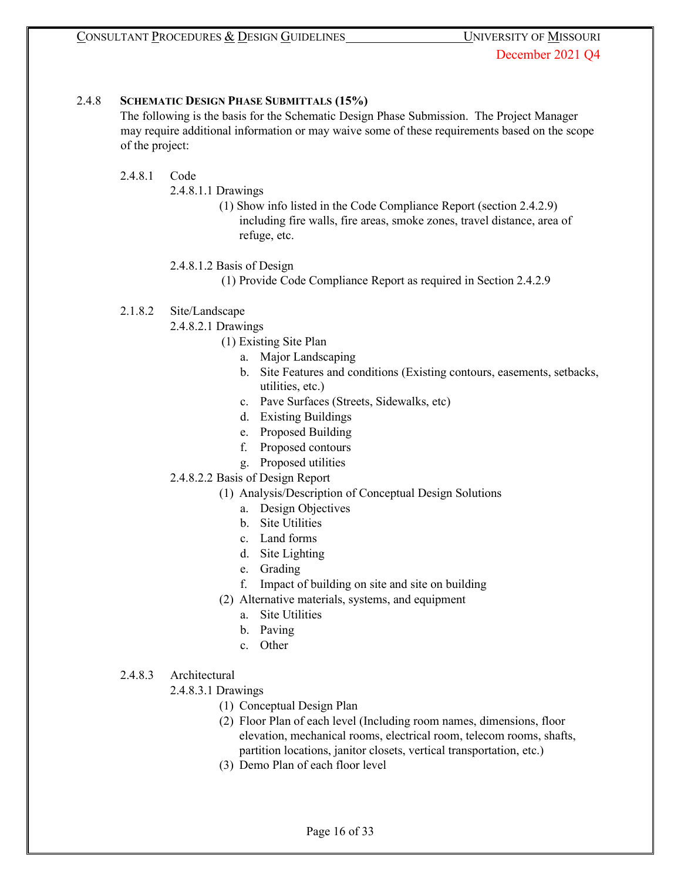## 2.4.8 **SCHEMATIC DESIGN PHASE SUBMITTALS (15%)**

The following is the basis for the Schematic Design Phase Submission. The Project Manager may require additional information or may waive some of these requirements based on the scope of the project:

## 2.4.8.1 Code

- 2.4.8.1.1 Drawings
	- (1) Show info listed in the Code Compliance Report (section 2.4.2.9) including fire walls, fire areas, smoke zones, travel distance, area of refuge, etc.

## 2.4.8.1.2 Basis of Design

(1) Provide Code Compliance Report as required in Section 2.4.2.9

## 2.1.8.2 Site/Landscape

- 2.4.8.2.1 Drawings
	- (1) Existing Site Plan
		- a. Major Landscaping
		- b. Site Features and conditions (Existing contours, easements, setbacks, utilities, etc.)
		- c. Pave Surfaces (Streets, Sidewalks, etc)
		- d. Existing Buildings
		- e. Proposed Building
		- f. Proposed contours
		- g. Proposed utilities

# 2.4.8.2.2 Basis of Design Report

- (1) Analysis/Description of Conceptual Design Solutions
	- a. Design Objectives
	- b. Site Utilities
	- c. Land forms
	- d. Site Lighting
	- e. Grading
	- f. Impact of building on site and site on building
- (2) Alternative materials, systems, and equipment
	- a. Site Utilities
	- b. Paving
	- c. Other
- 2.4.8.3 Architectural
	- 2.4.8.3.1 Drawings
		- (1) Conceptual Design Plan
		- (2) Floor Plan of each level (Including room names, dimensions, floor elevation, mechanical rooms, electrical room, telecom rooms, shafts, partition locations, janitor closets, vertical transportation, etc.)
		- (3) Demo Plan of each floor level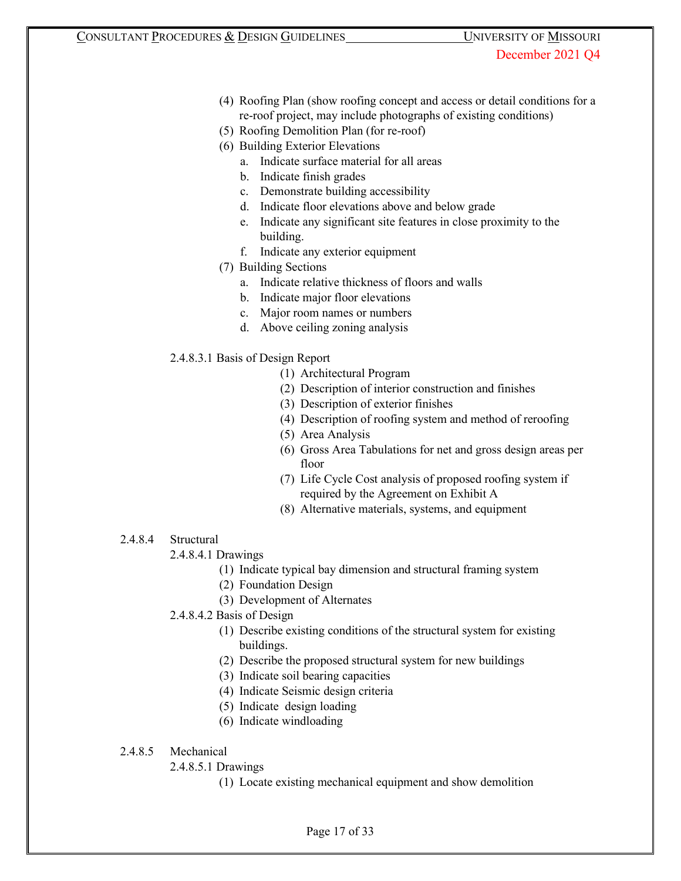- (4) Roofing Plan (show roofing concept and access or detail conditions for a re-roof project, may include photographs of existing conditions)
- (5) Roofing Demolition Plan (for re-roof)
- (6) Building Exterior Elevations
	- a. Indicate surface material for all areas
	- b. Indicate finish grades
	- c. Demonstrate building accessibility
	- d. Indicate floor elevations above and below grade
	- e. Indicate any significant site features in close proximity to the building.
	- f. Indicate any exterior equipment
- (7) Building Sections
	- a. Indicate relative thickness of floors and walls
	- b. Indicate major floor elevations
	- c. Major room names or numbers
	- d. Above ceiling zoning analysis
- 2.4.8.3.1 Basis of Design Report
	- (1) Architectural Program
	- (2) Description of interior construction and finishes
	- (3) Description of exterior finishes
	- (4) Description of roofing system and method of reroofing
	- (5) Area Analysis
	- (6) Gross Area Tabulations for net and gross design areas per floor
	- (7) Life Cycle Cost analysis of proposed roofing system if required by the Agreement on Exhibit A
	- (8) Alternative materials, systems, and equipment
- 2.4.8.4 Structural
	- 2.4.8.4.1 Drawings
		- (1) Indicate typical bay dimension and structural framing system
		- (2) Foundation Design
		- (3) Development of Alternates
	- 2.4.8.4.2 Basis of Design
		- (1) Describe existing conditions of the structural system for existing buildings.
		- (2) Describe the proposed structural system for new buildings
		- (3) Indicate soil bearing capacities
		- (4) Indicate Seismic design criteria
		- (5) Indicate design loading
		- (6) Indicate windloading
- 2.4.8.5 Mechanical
	- 2.4.8.5.1 Drawings
		- (1) Locate existing mechanical equipment and show demolition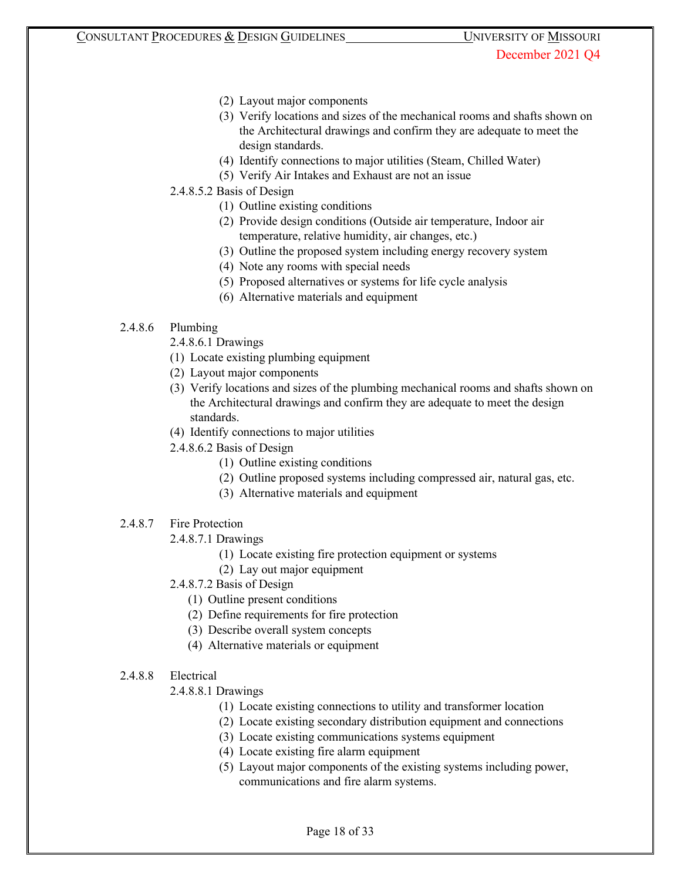- (2) Layout major components
- (3) Verify locations and sizes of the mechanical rooms and shafts shown on the Architectural drawings and confirm they are adequate to meet the design standards.
- (4) Identify connections to major utilities (Steam, Chilled Water)
- (5) Verify Air Intakes and Exhaust are not an issue
- 2.4.8.5.2 Basis of Design
	- (1) Outline existing conditions
	- (2) Provide design conditions (Outside air temperature, Indoor air temperature, relative humidity, air changes, etc.)
	- (3) Outline the proposed system including energy recovery system
	- (4) Note any rooms with special needs
	- (5) Proposed alternatives or systems for life cycle analysis
	- (6) Alternative materials and equipment

# 2.4.8.6 Plumbing

- 2.4.8.6.1 Drawings
- (1) Locate existing plumbing equipment
- (2) Layout major components
- (3) Verify locations and sizes of the plumbing mechanical rooms and shafts shown on the Architectural drawings and confirm they are adequate to meet the design standards.
- (4) Identify connections to major utilities
- 2.4.8.6.2 Basis of Design
	- (1) Outline existing conditions
	- (2) Outline proposed systems including compressed air, natural gas, etc.
	- (3) Alternative materials and equipment
- 2.4.8.7 Fire Protection
	- 2.4.8.7.1 Drawings
		- (1) Locate existing fire protection equipment or systems
		- (2) Lay out major equipment
	- 2.4.8.7.2 Basis of Design
		- (1) Outline present conditions
		- (2) Define requirements for fire protection
		- (3) Describe overall system concepts
		- (4) Alternative materials or equipment
- 2.4.8.8 Electrical

2.4.8.8.1 Drawings

- (1) Locate existing connections to utility and transformer location
- (2) Locate existing secondary distribution equipment and connections
- (3) Locate existing communications systems equipment
- (4) Locate existing fire alarm equipment
- (5) Layout major components of the existing systems including power, communications and fire alarm systems.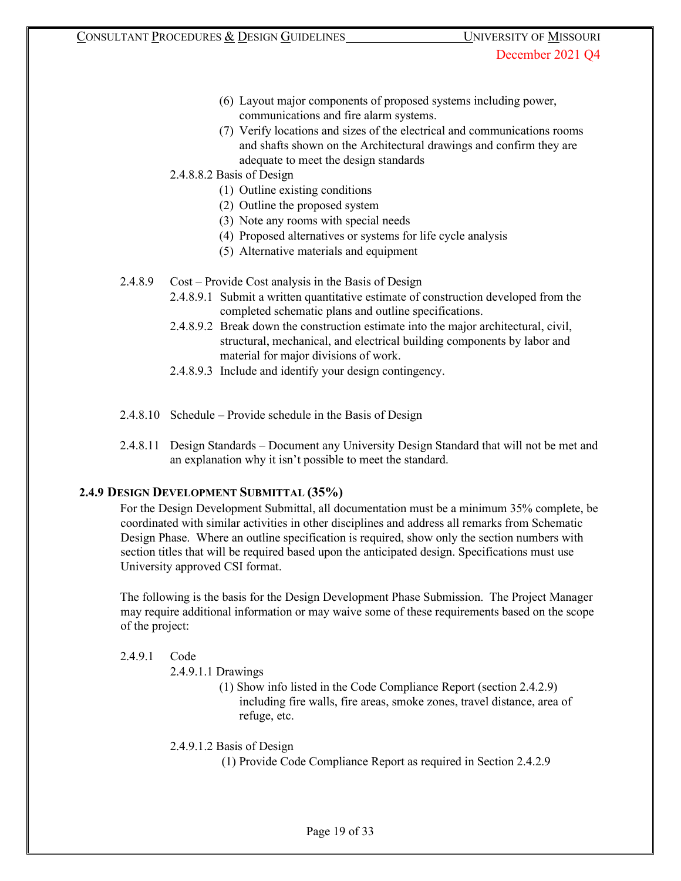- (6) Layout major components of proposed systems including power, communications and fire alarm systems.
- (7) Verify locations and sizes of the electrical and communications rooms and shafts shown on the Architectural drawings and confirm they are adequate to meet the design standards
- 2.4.8.8.2 Basis of Design
	- (1) Outline existing conditions
	- (2) Outline the proposed system
	- (3) Note any rooms with special needs
	- (4) Proposed alternatives or systems for life cycle analysis
	- (5) Alternative materials and equipment
- 2.4.8.9 Cost Provide Cost analysis in the Basis of Design
	- 2.4.8.9.1 Submit a written quantitative estimate of construction developed from the completed schematic plans and outline specifications.
	- 2.4.8.9.2 Break down the construction estimate into the major architectural, civil, structural, mechanical, and electrical building components by labor and material for major divisions of work.
	- 2.4.8.9.3 Include and identify your design contingency.
- 2.4.8.10 Schedule Provide schedule in the Basis of Design
- 2.4.8.11 Design Standards Document any University Design Standard that will not be met and an explanation why it isn't possible to meet the standard.

# **2.4.9 DESIGN DEVELOPMENT SUBMITTAL (35%)**

For the Design Development Submittal, all documentation must be a minimum 35% complete, be coordinated with similar activities in other disciplines and address all remarks from Schematic Design Phase. Where an outline specification is required, show only the section numbers with section titles that will be required based upon the anticipated design. Specifications must use University approved CSI format.

The following is the basis for the Design Development Phase Submission. The Project Manager may require additional information or may waive some of these requirements based on the scope of the project:

## 2.4.9.1 Code

- 2.4.9.1.1 Drawings
	- (1) Show info listed in the Code Compliance Report (section 2.4.2.9) including fire walls, fire areas, smoke zones, travel distance, area of refuge, etc.

2.4.9.1.2 Basis of Design

(1) Provide Code Compliance Report as required in Section 2.4.2.9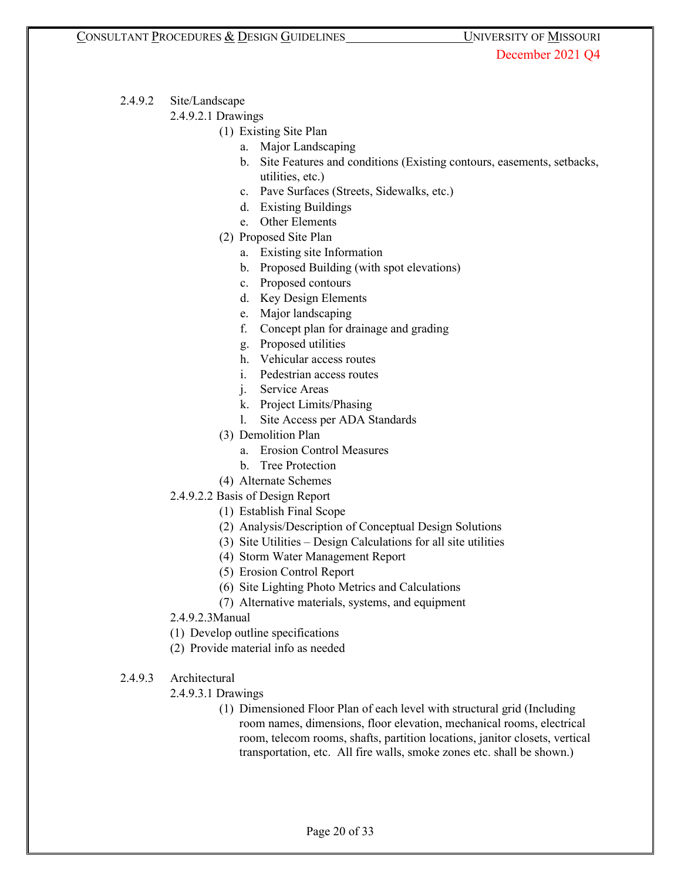- 2.4.9.2 Site/Landscape
	- 2.4.9.2.1 Drawings
		- (1) Existing Site Plan
			- a. Major Landscaping
			- b. Site Features and conditions (Existing contours, easements, setbacks, utilities, etc.)
			- c. Pave Surfaces (Streets, Sidewalks, etc.)
			- d. Existing Buildings
			- e. Other Elements
		- (2) Proposed Site Plan
			- a. Existing site Information
			- b. Proposed Building (with spot elevations)
			- c. Proposed contours
			- d. Key Design Elements
			- e. Major landscaping
			- f. Concept plan for drainage and grading
			- g. Proposed utilities
			- h. Vehicular access routes
			- i. Pedestrian access routes
			- j. Service Areas
			- k. Project Limits/Phasing
			- l. Site Access per ADA Standards
		- (3) Demolition Plan
			- a. Erosion Control Measures
			- b. Tree Protection
		- (4) Alternate Schemes
	- 2.4.9.2.2 Basis of Design Report
		- (1) Establish Final Scope
		- (2) Analysis/Description of Conceptual Design Solutions
		- (3) Site Utilities Design Calculations for all site utilities
		- (4) Storm Water Management Report
		- (5) Erosion Control Report
		- (6) Site Lighting Photo Metrics and Calculations
		- (7) Alternative materials, systems, and equipment
	- 2.4.9.2.3Manual
	- (1) Develop outline specifications
	- (2) Provide material info as needed
- 2.4.9.3 Architectural
	- 2.4.9.3.1 Drawings
		- (1) Dimensioned Floor Plan of each level with structural grid (Including room names, dimensions, floor elevation, mechanical rooms, electrical room, telecom rooms, shafts, partition locations, janitor closets, vertical transportation, etc. All fire walls, smoke zones etc. shall be shown.)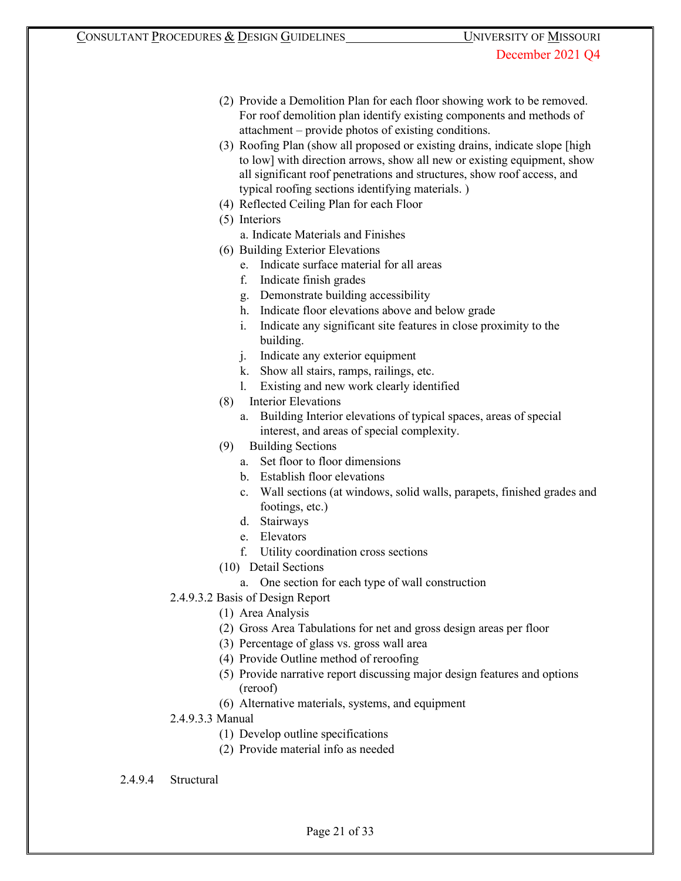- (2) Provide a Demolition Plan for each floor showing work to be removed. For roof demolition plan identify existing components and methods of attachment – provide photos of existing conditions.
- (3) Roofing Plan (show all proposed or existing drains, indicate slope [high to low] with direction arrows, show all new or existing equipment, show all significant roof penetrations and structures, show roof access, and typical roofing sections identifying materials. )
- (4) Reflected Ceiling Plan for each Floor
- (5) Interiors
	- a. Indicate Materials and Finishes
- (6) Building Exterior Elevations
	- e. Indicate surface material for all areas
	- f. Indicate finish grades
	- g. Demonstrate building accessibility
	- h. Indicate floor elevations above and below grade
	- i. Indicate any significant site features in close proximity to the building.
	- j. Indicate any exterior equipment
	- k. Show all stairs, ramps, railings, etc.
	- l. Existing and new work clearly identified
- (8) Interior Elevations
	- a. Building Interior elevations of typical spaces, areas of special interest, and areas of special complexity.
- (9) Building Sections
	- a. Set floor to floor dimensions
	- b. Establish floor elevations
	- c. Wall sections (at windows, solid walls, parapets, finished grades and footings, etc.)
	- d. Stairways
	- e. Elevators
	- f. Utility coordination cross sections
- (10) Detail Sections
	- a. One section for each type of wall construction
- 2.4.9.3.2 Basis of Design Report
	- (1) Area Analysis
	- (2) Gross Area Tabulations for net and gross design areas per floor
	- (3) Percentage of glass vs. gross wall area
	- (4) Provide Outline method of reroofing
	- (5) Provide narrative report discussing major design features and options (reroof)
	- (6) Alternative materials, systems, and equipment
- 2.4.9.3.3 Manual
	- (1) Develop outline specifications
	- (2) Provide material info as needed

2.4.9.4 Structural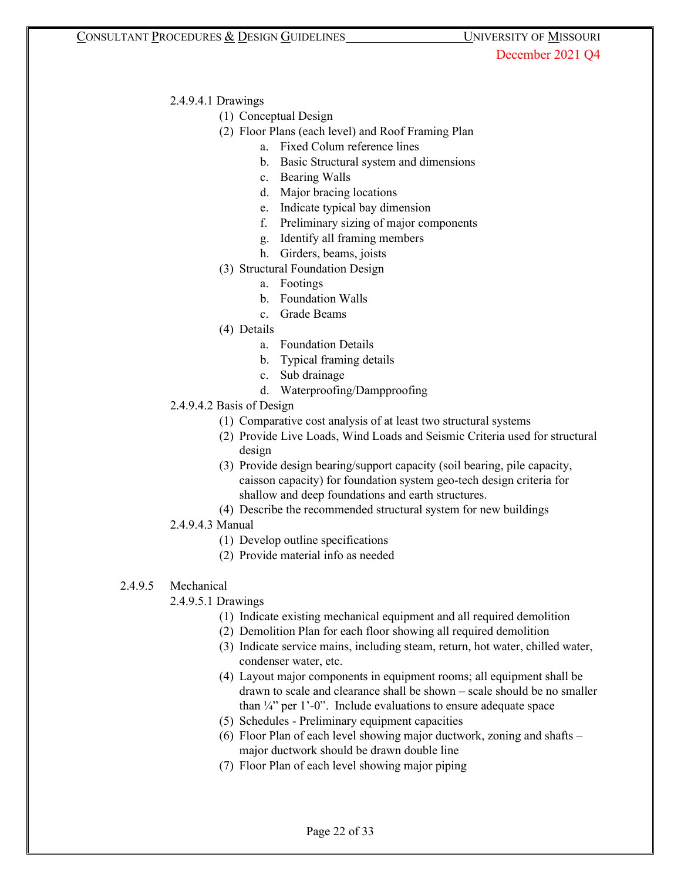## 2.4.9.4.1 Drawings

- (1) Conceptual Design
- (2) Floor Plans (each level) and Roof Framing Plan
	- a. Fixed Colum reference lines
	- b. Basic Structural system and dimensions
	- c. Bearing Walls
	- d. Major bracing locations
	- e. Indicate typical bay dimension
	- f. Preliminary sizing of major components
	- g. Identify all framing members
	- h. Girders, beams, joists
- (3) Structural Foundation Design
	- a. Footings
	- b. Foundation Walls
	- c. Grade Beams
- (4) Details
	- a. Foundation Details
	- b. Typical framing details
	- c. Sub drainage
	- d. Waterproofing/Dampproofing
- 2.4.9.4.2 Basis of Design
	- (1) Comparative cost analysis of at least two structural systems
	- (2) Provide Live Loads, Wind Loads and Seismic Criteria used for structural design
	- (3) Provide design bearing/support capacity (soil bearing, pile capacity, caisson capacity) for foundation system geo-tech design criteria for shallow and deep foundations and earth structures.
	- (4) Describe the recommended structural system for new buildings

# 2.4.9.4.3 Manual

- (1) Develop outline specifications
- (2) Provide material info as needed

# 2.4.9.5 Mechanical

- 2.4.9.5.1 Drawings
	- (1) Indicate existing mechanical equipment and all required demolition
	- (2) Demolition Plan for each floor showing all required demolition
	- (3) Indicate service mains, including steam, return, hot water, chilled water, condenser water, etc.
	- (4) Layout major components in equipment rooms; all equipment shall be drawn to scale and clearance shall be shown – scale should be no smaller than  $\frac{1}{4}$  per 1'-0". Include evaluations to ensure adequate space
	- (5) Schedules Preliminary equipment capacities
	- (6) Floor Plan of each level showing major ductwork, zoning and shafts major ductwork should be drawn double line
	- (7) Floor Plan of each level showing major piping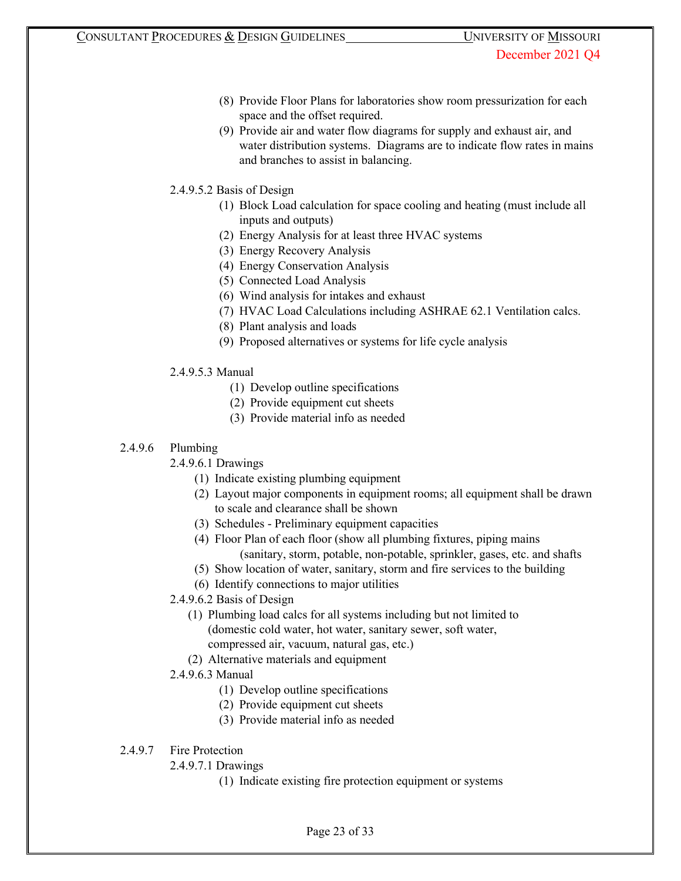- (8) Provide Floor Plans for laboratories show room pressurization for each space and the offset required.
- (9) Provide air and water flow diagrams for supply and exhaust air, and water distribution systems. Diagrams are to indicate flow rates in mains and branches to assist in balancing.
- 2.4.9.5.2 Basis of Design
	- (1) Block Load calculation for space cooling and heating (must include all inputs and outputs)
	- (2) Energy Analysis for at least three HVAC systems
	- (3) Energy Recovery Analysis
	- (4) Energy Conservation Analysis
	- (5) Connected Load Analysis
	- (6) Wind analysis for intakes and exhaust
	- (7) HVAC Load Calculations including ASHRAE 62.1 Ventilation calcs.
	- (8) Plant analysis and loads
	- (9) Proposed alternatives or systems for life cycle analysis
- 2.4.9.5.3 Manual
	- (1) Develop outline specifications
	- (2) Provide equipment cut sheets
	- (3) Provide material info as needed

## 2.4.9.6 Plumbing

- 2.4.9.6.1 Drawings
	- (1) Indicate existing plumbing equipment
	- (2) Layout major components in equipment rooms; all equipment shall be drawn to scale and clearance shall be shown
	- (3) Schedules Preliminary equipment capacities
	- (4) Floor Plan of each floor (show all plumbing fixtures, piping mains (sanitary, storm, potable, non-potable, sprinkler, gases, etc. and shafts
	- (5) Show location of water, sanitary, storm and fire services to the building
	- (6) Identify connections to major utilities
- 2.4.9.6.2 Basis of Design
	- (1) Plumbing load calcs for all systems including but not limited to (domestic cold water, hot water, sanitary sewer, soft water, compressed air, vacuum, natural gas, etc.)
	- (2) Alternative materials and equipment
- 2.4.9.6.3 Manual
	- (1) Develop outline specifications
	- (2) Provide equipment cut sheets
	- (3) Provide material info as needed

# 2.4.9.7 Fire Protection

- 2.4.9.7.1 Drawings
	- (1) Indicate existing fire protection equipment or systems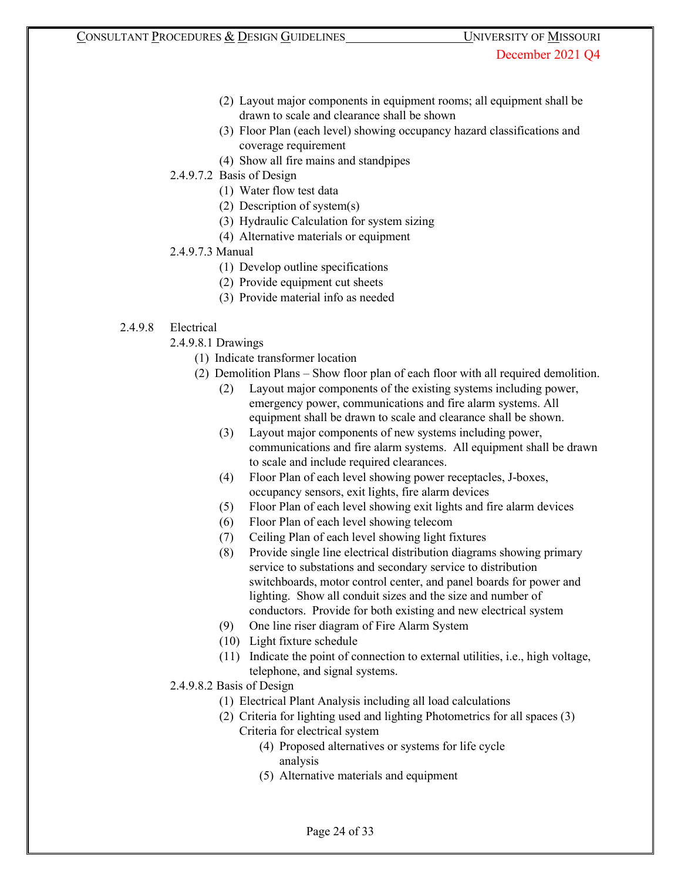- (2) Layout major components in equipment rooms; all equipment shall be drawn to scale and clearance shall be shown
- (3) Floor Plan (each level) showing occupancy hazard classifications and coverage requirement
- (4) Show all fire mains and standpipes

# 2.4.9.7.2 Basis of Design

- (1) Water flow test data
- (2) Description of system(s)
- (3) Hydraulic Calculation for system sizing
- (4) Alternative materials or equipment

# 2.4.9.7.3 Manual

- (1) Develop outline specifications
- (2) Provide equipment cut sheets
- (3) Provide material info as needed

# 2.4.9.8 Electrical

- 2.4.9.8.1 Drawings
	- (1) Indicate transformer location
	- (2) Demolition Plans Show floor plan of each floor with all required demolition.
		- (2) Layout major components of the existing systems including power, emergency power, communications and fire alarm systems. All equipment shall be drawn to scale and clearance shall be shown.
		- (3) Layout major components of new systems including power, communications and fire alarm systems. All equipment shall be drawn to scale and include required clearances.
		- (4) Floor Plan of each level showing power receptacles, J-boxes, occupancy sensors, exit lights, fire alarm devices
		- (5) Floor Plan of each level showing exit lights and fire alarm devices
		- (6) Floor Plan of each level showing telecom
		- (7) Ceiling Plan of each level showing light fixtures
		- (8) Provide single line electrical distribution diagrams showing primary service to substations and secondary service to distribution switchboards, motor control center, and panel boards for power and lighting. Show all conduit sizes and the size and number of conductors. Provide for both existing and new electrical system
		- (9) One line riser diagram of Fire Alarm System
		- (10) Light fixture schedule
		- (11) Indicate the point of connection to external utilities, i.e., high voltage, telephone, and signal systems.
- 2.4.9.8.2 Basis of Design
	- (1) Electrical Plant Analysis including all load calculations
	- (2) Criteria for lighting used and lighting Photometrics for all spaces (3) Criteria for electrical system
		- (4) Proposed alternatives or systems for life cycle analysis
		- (5) Alternative materials and equipment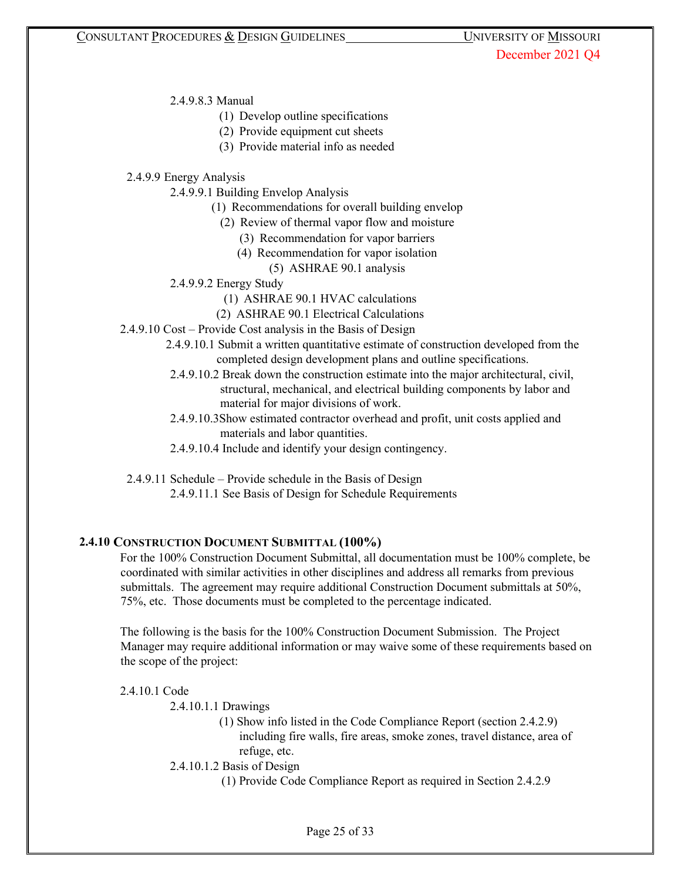2.4.9.8.3 Manual

- (1) Develop outline specifications
- (2) Provide equipment cut sheets
- (3) Provide material info as needed

2.4.9.9 Energy Analysis

2.4.9.9.1 Building Envelop Analysis

- (1) Recommendations for overall building envelop
	- (2) Review of thermal vapor flow and moisture
		- (3) Recommendation for vapor barriers
		- (4) Recommendation for vapor isolation
			- (5) ASHRAE 90.1 analysis
- 2.4.9.9.2 Energy Study
	- (1) ASHRAE 90.1 HVAC calculations
	- (2) ASHRAE 90.1 Electrical Calculations
- 2.4.9.10 Cost Provide Cost analysis in the Basis of Design
	- 2.4.9.10.1 Submit a written quantitative estimate of construction developed from the completed design development plans and outline specifications.
	- 2.4.9.10.2 Break down the construction estimate into the major architectural, civil, structural, mechanical, and electrical building components by labor and material for major divisions of work.
	- 2.4.9.10.3Show estimated contractor overhead and profit, unit costs applied and materials and labor quantities.
	- 2.4.9.10.4 Include and identify your design contingency.

2.4.9.11 Schedule – Provide schedule in the Basis of Design

2.4.9.11.1 See Basis of Design for Schedule Requirements

## **2.4.10 CONSTRUCTION DOCUMENT SUBMITTAL (100%)**

For the 100% Construction Document Submittal, all documentation must be 100% complete, be coordinated with similar activities in other disciplines and address all remarks from previous submittals. The agreement may require additional Construction Document submittals at 50%, 75%, etc. Those documents must be completed to the percentage indicated.

The following is the basis for the 100% Construction Document Submission. The Project Manager may require additional information or may waive some of these requirements based on the scope of the project:

#### 2.4.10.1 Code

2.4.10.1.1 Drawings

(1) Show info listed in the Code Compliance Report (section 2.4.2.9) including fire walls, fire areas, smoke zones, travel distance, area of refuge, etc.

2.4.10.1.2 Basis of Design

(1) Provide Code Compliance Report as required in Section 2.4.2.9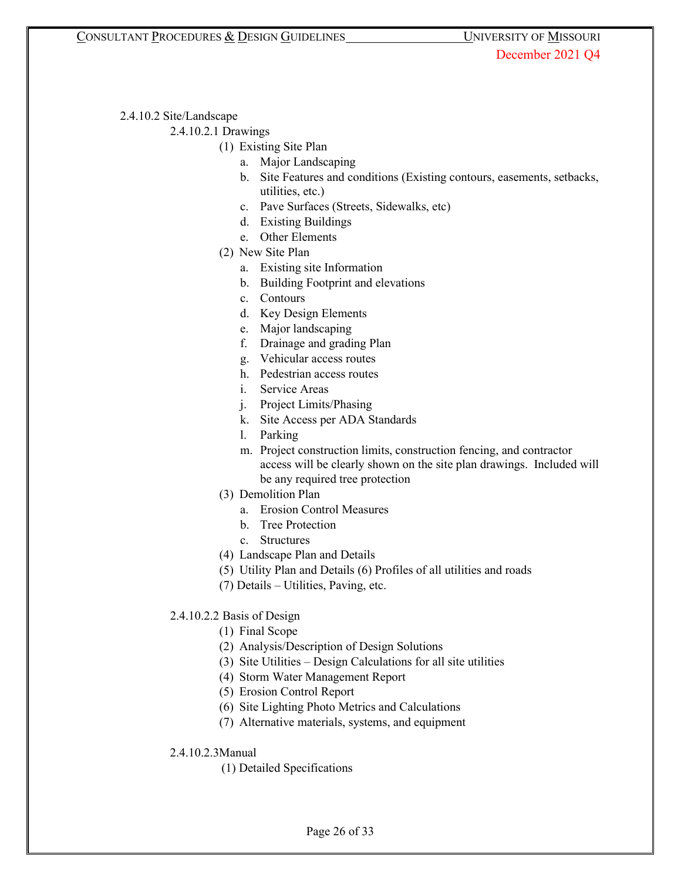2.4.10.2 Site/Landscape

2.4.10.2.1 Drawings

- (1) Existing Site Plan
	- a. Major Landscaping
	- b. Site Features and conditions (Existing contours, easements, setbacks, utilities, etc.)
	- c. Pave Surfaces (Streets, Sidewalks, etc)
	- d. Existing Buildings
	- e. Other Elements
- (2) New Site Plan
	- a. Existing site Information
	- b. Building Footprint and elevations
	- c. Contours
	- d. Key Design Elements
	- e. Major landscaping
	- f. Drainage and grading Plan
	- g. Vehicular access routes
	- h. Pedestrian access routes
	- i. Service Areas
	- j. Project Limits/Phasing
	- k. Site Access per ADA Standards
	- l. Parking
	- m. Project construction limits, construction fencing, and contractor access will be clearly shown on the site plan drawings. Included will be any required tree protection
- (3) Demolition Plan
	- a. Erosion Control Measures
	- b. Tree Protection
	- c. Structures
- (4) Landscape Plan and Details
- (5) Utility Plan and Details (6) Profiles of all utilities and roads
- (7) Details Utilities, Paving, etc.
- 2.4.10.2.2 Basis of Design
	- (1) Final Scope
	- (2) Analysis/Description of Design Solutions
	- (3) Site Utilities Design Calculations for all site utilities
	- (4) Storm Water Management Report
	- (5) Erosion Control Report
	- (6) Site Lighting Photo Metrics and Calculations
	- (7) Alternative materials, systems, and equipment
- 2.4.10.2.3Manual
	- (1) Detailed Specifications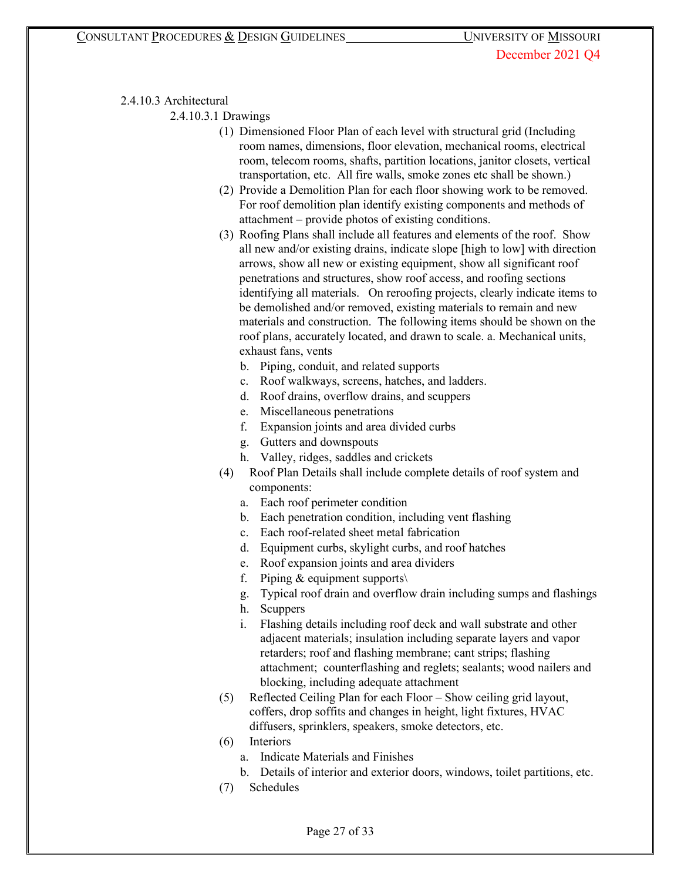# 2.4.10.3 Architectural

2.4.10.3.1 Drawings

- (1) Dimensioned Floor Plan of each level with structural grid (Including room names, dimensions, floor elevation, mechanical rooms, electrical room, telecom rooms, shafts, partition locations, janitor closets, vertical transportation, etc. All fire walls, smoke zones etc shall be shown.)
- (2) Provide a Demolition Plan for each floor showing work to be removed. For roof demolition plan identify existing components and methods of attachment – provide photos of existing conditions.
- (3) Roofing Plans shall include all features and elements of the roof. Show all new and/or existing drains, indicate slope [high to low] with direction arrows, show all new or existing equipment, show all significant roof penetrations and structures, show roof access, and roofing sections identifying all materials. On reroofing projects, clearly indicate items to be demolished and/or removed, existing materials to remain and new materials and construction. The following items should be shown on the roof plans, accurately located, and drawn to scale. a. Mechanical units, exhaust fans, vents
	- b. Piping, conduit, and related supports
	- c. Roof walkways, screens, hatches, and ladders.
	- d. Roof drains, overflow drains, and scuppers
	- e. Miscellaneous penetrations
	- f. Expansion joints and area divided curbs
	- g. Gutters and downspouts
	- h. Valley, ridges, saddles and crickets
- (4) Roof Plan Details shall include complete details of roof system and components:
	- a. Each roof perimeter condition
	- b. Each penetration condition, including vent flashing
	- c. Each roof-related sheet metal fabrication
	- d. Equipment curbs, skylight curbs, and roof hatches
	- e. Roof expansion joints and area dividers
	- f. Piping  $&$  equipment supports $\setminus$
	- g. Typical roof drain and overflow drain including sumps and flashings
	- h. Scuppers
	- i. Flashing details including roof deck and wall substrate and other adjacent materials; insulation including separate layers and vapor retarders; roof and flashing membrane; cant strips; flashing attachment; counterflashing and reglets; sealants; wood nailers and blocking, including adequate attachment
- (5) Reflected Ceiling Plan for each Floor Show ceiling grid layout, coffers, drop soffits and changes in height, light fixtures, HVAC diffusers, sprinklers, speakers, smoke detectors, etc.
- (6) Interiors
	- a. Indicate Materials and Finishes
	- b. Details of interior and exterior doors, windows, toilet partitions, etc.
- (7) Schedules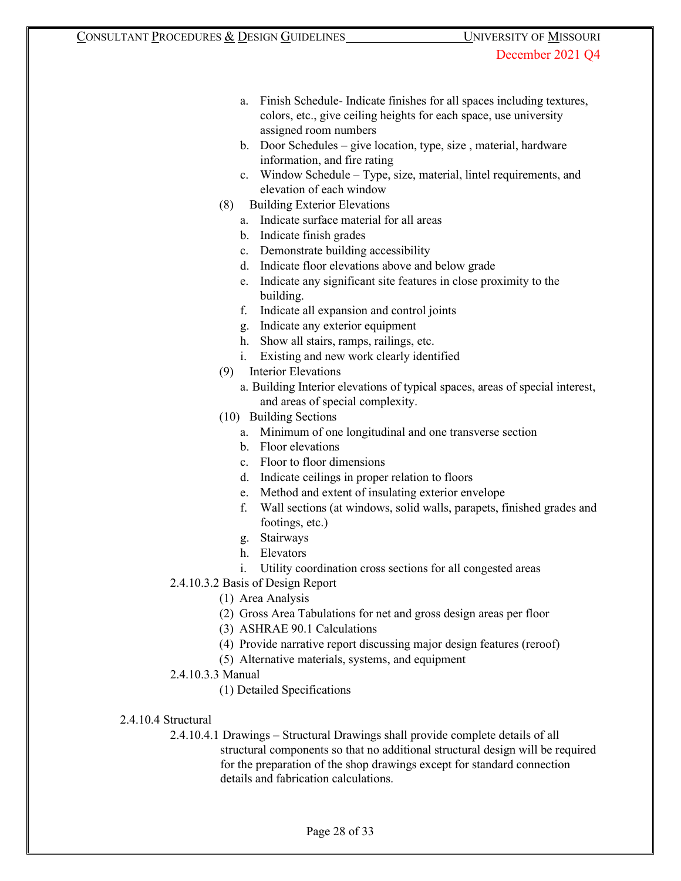- a. Finish Schedule- Indicate finishes for all spaces including textures, colors, etc., give ceiling heights for each space, use university assigned room numbers
- b. Door Schedules give location, type, size , material, hardware information, and fire rating
- c. Window Schedule Type, size, material, lintel requirements, and elevation of each window
- (8) Building Exterior Elevations
	- a. Indicate surface material for all areas
	- b. Indicate finish grades
	- c. Demonstrate building accessibility
	- d. Indicate floor elevations above and below grade
	- e. Indicate any significant site features in close proximity to the building.
	- f. Indicate all expansion and control joints
	- g. Indicate any exterior equipment
	- h. Show all stairs, ramps, railings, etc.
	- i. Existing and new work clearly identified
- (9) Interior Elevations
	- a. Building Interior elevations of typical spaces, areas of special interest, and areas of special complexity.
- (10) Building Sections
	- a. Minimum of one longitudinal and one transverse section
	- b. Floor elevations
	- c. Floor to floor dimensions
	- d. Indicate ceilings in proper relation to floors
	- e. Method and extent of insulating exterior envelope
	- f. Wall sections (at windows, solid walls, parapets, finished grades and footings, etc.)
	- g. Stairways
	- h. Elevators
- i. Utility coordination cross sections for all congested areas
- 2.4.10.3.2 Basis of Design Report
	- (1) Area Analysis
	- (2) Gross Area Tabulations for net and gross design areas per floor
	- (3) ASHRAE 90.1 Calculations
	- (4) Provide narrative report discussing major design features (reroof)
	- (5) Alternative materials, systems, and equipment
- 2.4.10.3.3 Manual
	- (1) Detailed Specifications
- 2.4.10.4 Structural
	- 2.4.10.4.1 Drawings Structural Drawings shall provide complete details of all structural components so that no additional structural design will be required for the preparation of the shop drawings except for standard connection details and fabrication calculations.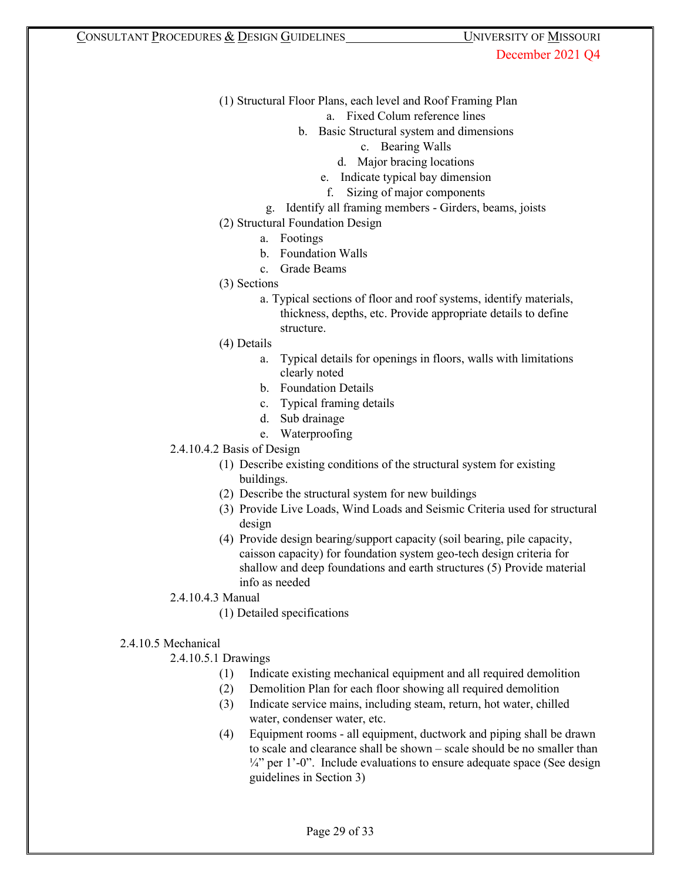- (1) Structural Floor Plans, each level and Roof Framing Plan
	- a. Fixed Colum reference lines
	- b. Basic Structural system and dimensions
		- c. Bearing Walls
		- d. Major bracing locations
		- e. Indicate typical bay dimension
		- f. Sizing of major components
	- g. Identify all framing members Girders, beams, joists
- (2) Structural Foundation Design
	- a. Footings
	- b. Foundation Walls
	- c. Grade Beams
- (3) Sections
	- a. Typical sections of floor and roof systems, identify materials, thickness, depths, etc. Provide appropriate details to define structure.
- (4) Details
	- a. Typical details for openings in floors, walls with limitations clearly noted
	- b. Foundation Details
	- c. Typical framing details
	- d. Sub drainage
	- e. Waterproofing
- 2.4.10.4.2 Basis of Design
	- (1) Describe existing conditions of the structural system for existing buildings.
	- (2) Describe the structural system for new buildings
	- (3) Provide Live Loads, Wind Loads and Seismic Criteria used for structural design
	- (4) Provide design bearing/support capacity (soil bearing, pile capacity, caisson capacity) for foundation system geo-tech design criteria for shallow and deep foundations and earth structures (5) Provide material info as needed
- 2.4.10.4.3 Manual
	- (1) Detailed specifications
- 2.4.10.5 Mechanical

# 2.4.10.5.1 Drawings

- (1) Indicate existing mechanical equipment and all required demolition
- (2) Demolition Plan for each floor showing all required demolition
- (3) Indicate service mains, including steam, return, hot water, chilled water, condenser water, etc.
- (4) Equipment rooms all equipment, ductwork and piping shall be drawn to scale and clearance shall be shown – scale should be no smaller than  $\frac{1}{4}$ " per 1'-0". Include evaluations to ensure adequate space (See design guidelines in Section 3)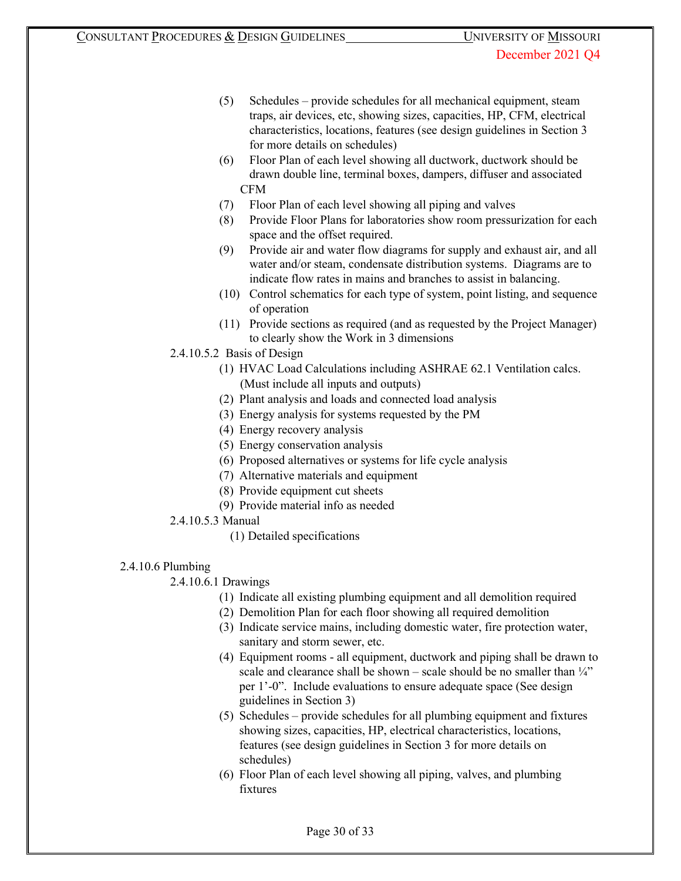- (5) Schedules provide schedules for all mechanical equipment, steam traps, air devices, etc, showing sizes, capacities, HP, CFM, electrical characteristics, locations, features (see design guidelines in Section 3 for more details on schedules)
- (6) Floor Plan of each level showing all ductwork, ductwork should be drawn double line, terminal boxes, dampers, diffuser and associated CFM
- (7) Floor Plan of each level showing all piping and valves
- (8) Provide Floor Plans for laboratories show room pressurization for each space and the offset required.
- (9) Provide air and water flow diagrams for supply and exhaust air, and all water and/or steam, condensate distribution systems. Diagrams are to indicate flow rates in mains and branches to assist in balancing.
- (10) Control schematics for each type of system, point listing, and sequence of operation
- (11) Provide sections as required (and as requested by the Project Manager) to clearly show the Work in 3 dimensions
- 2.4.10.5.2 Basis of Design
	- (1) HVAC Load Calculations including ASHRAE 62.1 Ventilation calcs. (Must include all inputs and outputs)
	- (2) Plant analysis and loads and connected load analysis
	- (3) Energy analysis for systems requested by the PM
	- (4) Energy recovery analysis
	- (5) Energy conservation analysis
	- (6) Proposed alternatives or systems for life cycle analysis
	- (7) Alternative materials and equipment
	- (8) Provide equipment cut sheets
	- (9) Provide material info as needed
- 2.4.10.5.3 Manual
	- (1) Detailed specifications
- 2.4.10.6 Plumbing

# 2.4.10.6.1 Drawings

- (1) Indicate all existing plumbing equipment and all demolition required
- (2) Demolition Plan for each floor showing all required demolition
- (3) Indicate service mains, including domestic water, fire protection water, sanitary and storm sewer, etc.
- (4) Equipment rooms all equipment, ductwork and piping shall be drawn to scale and clearance shall be shown – scale should be no smaller than  $\frac{1}{4}$ " per 1'-0". Include evaluations to ensure adequate space (See design guidelines in Section 3)
- (5) Schedules provide schedules for all plumbing equipment and fixtures showing sizes, capacities, HP, electrical characteristics, locations, features (see design guidelines in Section 3 for more details on schedules)
- (6) Floor Plan of each level showing all piping, valves, and plumbing fixtures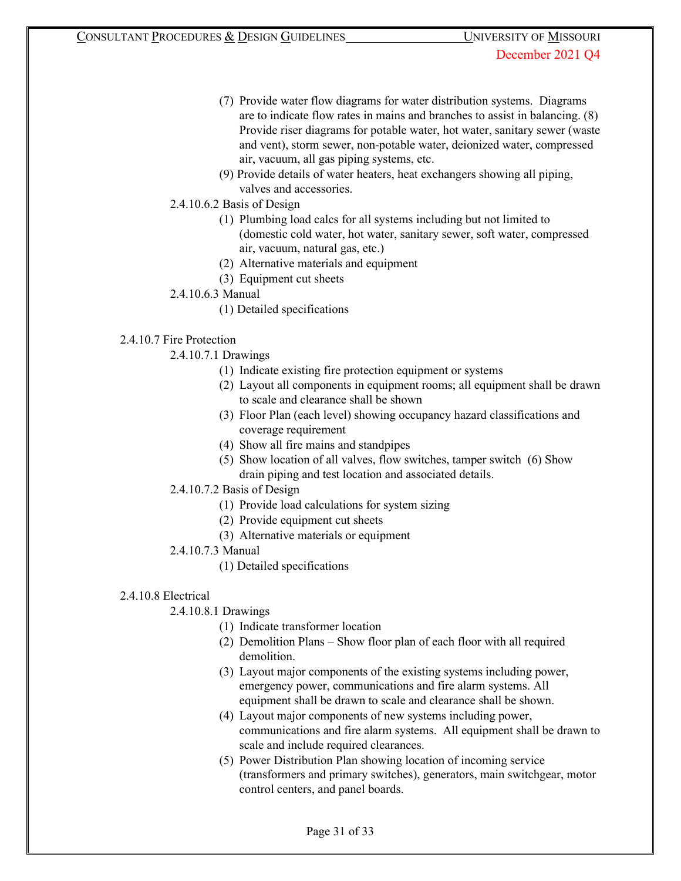- (7) Provide water flow diagrams for water distribution systems. Diagrams are to indicate flow rates in mains and branches to assist in balancing. (8) Provide riser diagrams for potable water, hot water, sanitary sewer (waste and vent), storm sewer, non-potable water, deionized water, compressed air, vacuum, all gas piping systems, etc.
- (9) Provide details of water heaters, heat exchangers showing all piping, valves and accessories.
- 2.4.10.6.2 Basis of Design
	- (1) Plumbing load calcs for all systems including but not limited to (domestic cold water, hot water, sanitary sewer, soft water, compressed air, vacuum, natural gas, etc.)
	- (2) Alternative materials and equipment
	- (3) Equipment cut sheets
- 2.4.10.6.3 Manual
	- (1) Detailed specifications

# 2.4.10.7 Fire Protection

- 2.4.10.7.1 Drawings
	- (1) Indicate existing fire protection equipment or systems
	- (2) Layout all components in equipment rooms; all equipment shall be drawn to scale and clearance shall be shown
	- (3) Floor Plan (each level) showing occupancy hazard classifications and coverage requirement
	- (4) Show all fire mains and standpipes
	- (5) Show location of all valves, flow switches, tamper switch (6) Show drain piping and test location and associated details.
- 2.4.10.7.2 Basis of Design
	- (1) Provide load calculations for system sizing
	- (2) Provide equipment cut sheets
	- (3) Alternative materials or equipment
- 2.4.10.7.3 Manual
	- (1) Detailed specifications

# 2.4.10.8 Electrical

# 2.4.10.8.1 Drawings

- (1) Indicate transformer location
- (2) Demolition Plans Show floor plan of each floor with all required demolition.
- (3) Layout major components of the existing systems including power, emergency power, communications and fire alarm systems. All equipment shall be drawn to scale and clearance shall be shown.
- (4) Layout major components of new systems including power, communications and fire alarm systems. All equipment shall be drawn to scale and include required clearances.
- (5) Power Distribution Plan showing location of incoming service (transformers and primary switches), generators, main switchgear, motor control centers, and panel boards.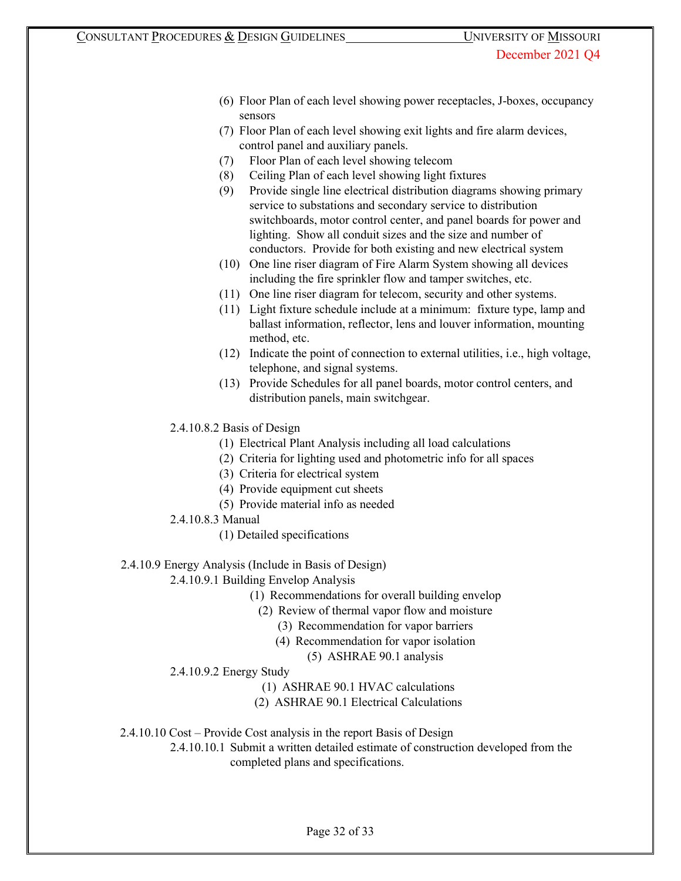- (6) Floor Plan of each level showing power receptacles, J-boxes, occupancy sensors
- (7) Floor Plan of each level showing exit lights and fire alarm devices, control panel and auxiliary panels.
- (7) Floor Plan of each level showing telecom
- (8) Ceiling Plan of each level showing light fixtures
- (9) Provide single line electrical distribution diagrams showing primary service to substations and secondary service to distribution switchboards, motor control center, and panel boards for power and lighting. Show all conduit sizes and the size and number of conductors. Provide for both existing and new electrical system
- (10) One line riser diagram of Fire Alarm System showing all devices including the fire sprinkler flow and tamper switches, etc.
- (11) One line riser diagram for telecom, security and other systems.
- (11) Light fixture schedule include at a minimum: fixture type, lamp and ballast information, reflector, lens and louver information, mounting method, etc.
- (12) Indicate the point of connection to external utilities, i.e., high voltage, telephone, and signal systems.
- (13) Provide Schedules for all panel boards, motor control centers, and distribution panels, main switchgear.
- 2.4.10.8.2 Basis of Design
	- (1) Electrical Plant Analysis including all load calculations
	- (2) Criteria for lighting used and photometric info for all spaces
	- (3) Criteria for electrical system
	- (4) Provide equipment cut sheets
	- (5) Provide material info as needed
- 2.4.10.8.3 Manual
	- (1) Detailed specifications
- 2.4.10.9 Energy Analysis (Include in Basis of Design)

2.4.10.9.1 Building Envelop Analysis

- (1) Recommendations for overall building envelop
	- (2) Review of thermal vapor flow and moisture
		- (3) Recommendation for vapor barriers
		- (4) Recommendation for vapor isolation
			- (5) ASHRAE 90.1 analysis
- 2.4.10.9.2 Energy Study
	- (1) ASHRAE 90.1 HVAC calculations
	- (2) ASHRAE 90.1 Electrical Calculations
- 2.4.10.10 Cost Provide Cost analysis in the report Basis of Design
	- 2.4.10.10.1 Submit a written detailed estimate of construction developed from the completed plans and specifications.